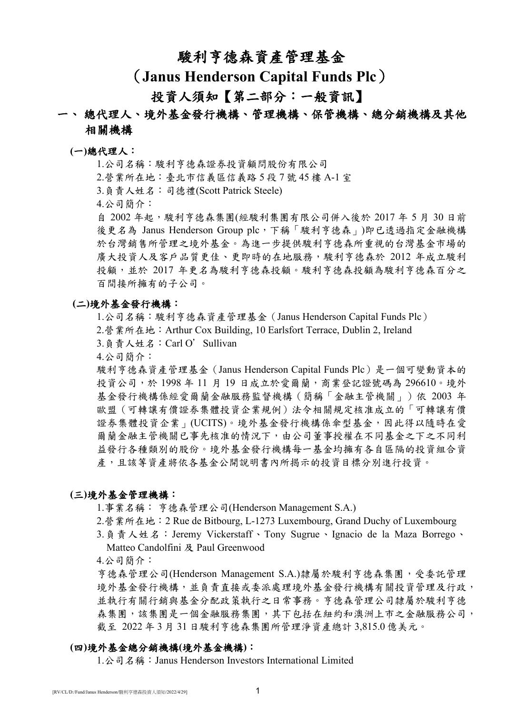## 駿利亨德森資產管理基金

# (**Janus Henderson Capital Funds Plc**)

# 投資人須知【第二部分:一般資訊】

## 一、 總代理人、境外基金發行機構、管理機構、保管機構、總分銷機構及其他 相關機構

#### **(**一**)**總代理人:

1.公司名稱:駿利亨德森證券投資顧問股份有限公司

2.營業所在地:臺北市信義區信義路 5 段 7 號 45 樓 A-1 室

3.負責人姓名:司德禮(Scott Patrick Steele)

4.公司簡介:

自 2002年起,駿利亨德森集團(經駿利集團有限公司併入後於 2017年 5月 30 日前 後更名為 Janus Henderson Group plc,下稱「駿利亨德森」)即已透過指定金融機構 於台灣銷售所管理之境外基金。為進一步提供駿利亨德森所重視的台灣基金市場的 廣大投資人及客戶品質更佳、更即時的在地服務,駿利亨德森於 2012 年成立駿利 投顧,並於 2017年更名為駿利亨德森投顧。駿利亨德森投顧為駿利亨德森百分之 百間接所擁有的子公司。

## **(**二**)**境外基金發行機構:

1.公司名稱:駿利亨德森資產管理基金(Janus Henderson Capital Funds Plc)

- 2.營業所在地:Arthur Cox Building, 10 Earlsfort Terrace, Dublin 2, Ireland
- 3.負責人姓名:Carl O'Sullivan
- 4.公司簡介:

駿利亨德森資產管理基金(Janus Henderson Capital Funds Plc)是一個可變動資本的 投資公司,於 1998年11月19日成立於愛爾蘭,商業登記證號碼為 296610。境外 基金發行機構係經愛爾蘭金融服務監督機構(簡稱「金融主管機關」)依 2003 年 歐盟(可轉讓有價證券集體投資企業規例)法令相關規定核准成立的「可轉讓有價 證券集體投資企業」(UCITS)。境外基金發行機構係傘型基金,因此得以隨時在愛 爾蘭金融主管機關已事先核准的情況下,由公司董事授權在不同基金之下之不同利 益發行各種類別的股份。境外基金發行機構每一基金均擁有各自區隔的投資組合資 產,且該等資產將依各基金公開說明書內所揭示的投資目標分別進行投資。

### **(**三**)**境外基金管理機構:

1.事業名稱: 亨德森管理公司(Henderson Management S.A.)

- 2.營業所在地:2 Rue de Bitbourg, L-1273 Luxembourg, Grand Duchy of Luxembourg
- 3.負責人姓名:Jeremy Vickerstaff、Tony Sugrue、Ignacio de la Maza Borrego、 Matteo Candolfini 及 Paul Greenwood

4.公司簡介:

亨德森管理公司(Henderson Management S.A.)隸屬於駿利亨德森集團,受委託管理 境外基金發行機構,並負責直接或委派處理境外基金發行機構有關投資管理及行政, 並執行有關行銷與基金分配政策執行之日常事務。亨德森管理公司隸屬於駿利亨德 森集團,該集團是一個金融服務集團,其下包括在紐約和澳洲上市之金融服務公司, 截至 2022 年 3 月 31 日駿利亨德森集團所管理淨資產總計 3,815.0 億美元。

## **(**四**)**境外基金總分銷機構**(**境外基金機構**)**:

1.公司名稱:Janus Henderson Investors International Limited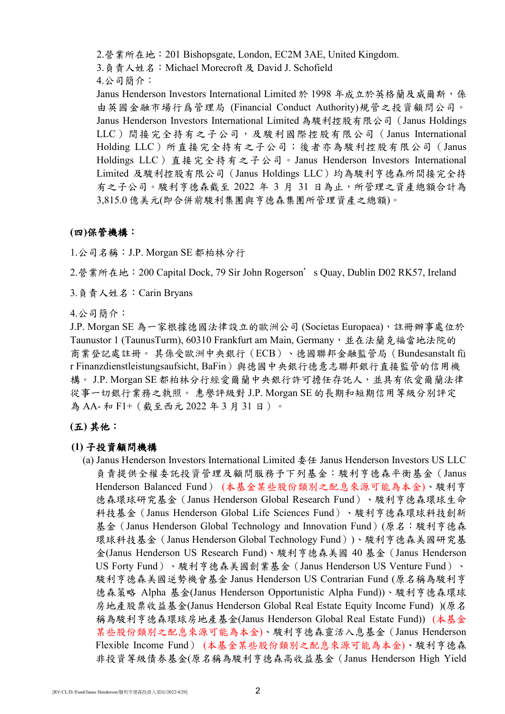2.營業所在地:201 Bishopsgate, London, EC2M 3AE, United Kingdom.

3.負責人姓名:Michael Morecroft 及 David J. Schofield

4.公司簡介:

Janus Henderson Investors International Limited 於 1998 年成立於英格蘭及威爾斯, 係 由英國金融市場行爲管理局 (Financial Conduct Authority)規管之投資顧問公司。 Janus Henderson Investors International Limited 為駿利控股有限公司(Janus Holdings LLC)間接完全持有之子公司,及駿利國際控股有限公司(Janus International Holding LLC)所直接完全持有之子公司;後者亦為駿利控股有限公司 (Janus Holdings LLC)直接完全持有之子公司。Janus Henderson Investors International Limited 及駿利控股有限公司(Janus Holdings LLC)均為駿利亨德森所間接完全持 有之子公司。駿利亨德森截至 2022 年 3 月 31 日為止,所管理之資產總額合計為 3,815.0 億美元(即合併前駿利集團與亨德森集團所管理資產之總額)。

## **(**四**)**保管機構:

1.公司名稱:J.P. Morgan SE 都柏林分行

2.營業所在地:200 Capital Dock, 79 Sir John Rogerson's Quay, Dublin D02 RK57, Ireland

3.負責人姓名:Carin Bryans

4.公司簡介:

J.P. Morgan SE 為一家根據德國法律設立的歐洲公司 (Societas Europaea),註冊辦事處位於 Taunustor 1 (TaunusTurm), 60310 Frankfurt am Main, Germany, 並在法蘭克福當地法院的 商業登記處註冊。 其係受歐洲中央銀行(ECB)、德國聯邦金融監管局(Bundesanstalt fü r Finanzdienstleistungsaufsicht, BaFin)與德國中央銀行德意志聯邦銀行直接監管的信用機 構。 J.P. Morgan SE 都柏林分行經愛爾蘭中央銀行許可擔任存託人,並具有依愛爾蘭法律 從事一切銀行業務之執照。 惠譽評級對 J.P. Morgan SE 的長期和短期信用等級分別評定 為 AA- 和 F1+(截至西元 2022 年 3 月 31 日)。

## **(**五**)** 其他:

## **(1)** 子投資顧問機構

(a) Janus Henderson Investors International Limited 委任 Janus Henderson Investors US LLC 負責提供全權委託投資管理及顧問服務予下列基金:駿利亨德森平衡基金(Janus Henderson Balanced Fund) (本基金某些股份類別之配息來源可能為本金)、駿利亨 德森環球研究基金(Janus Henderson Global Research Fund)、駿利亨德森環球生命 科技基金(Janus Henderson Global Life Sciences Fund)、駿利亨德森環球科技創新 基金(Janus Henderson Global Technology and Innovation Fund)(原名:駿利亨德森 環球科技基金(Janus Henderson Global Technology Fund))、駿利亨德森美國研究基 金(Janus Henderson US Research Fund)、駿利亨德森美國 40 基金(Janus Henderson US Forty Fund)、駿利亨德森美國創業基金(Janus Henderson US Venture Fund)、 駿利亨德森美國逆勢機會基金 Janus Henderson US Contrarian Fund (原名稱為駿利亨 德森策略 Alpha 基金(Janus Henderson Opportunistic Alpha Fund))、駿利亨德森環球 房地產股票收益基金(Janus Henderson Global Real Estate Equity Income Fund) )(原名 稱為駿利亨德森環球房地產基金(Janus Henderson Global Real Estate Fund)) (本基金 某些股份類別之配息來源可能為本金)、駿利亨德森靈活入息基金(Janus Henderson Flexible Income Fund) (本基金某些股份類別之配息來源可能為本金)、駿利亨德森 非投資等級債券基金(原名稱為駿利亨德森高收益基金(Janus Henderson High Yield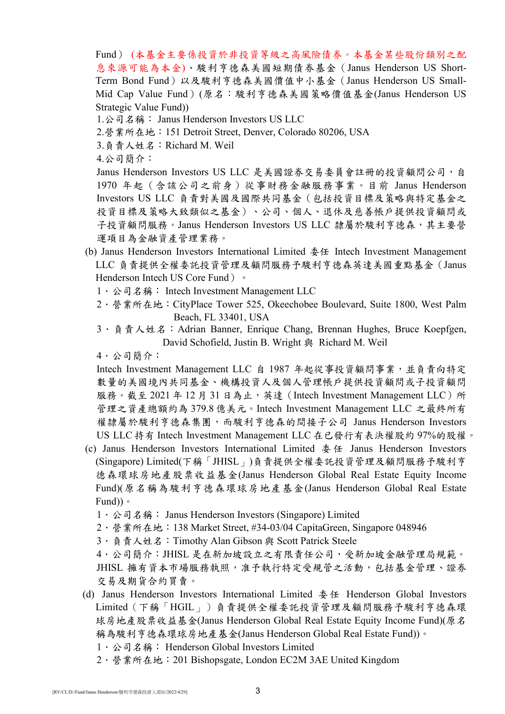Fund) (本基金主要係投資於非投資等級之高風險債券。本基金某些股份類別之配 息來源可能為本金)、駿利亨德森美國短期債券基金(Janus Henderson US Short-Term Bond Fund)以及駿利亨德森美國價值中小基金(Janus Henderson US Small-Mid Cap Value Fund)(原名:駿利亨德森美國策略價值基金(Janus Henderson US Strategic Value Fund))

- 1.公司名稱: Janus Henderson Investors US LLC
- 2.營業所在地:151 Detroit Street, Denver, Colorado 80206, USA
- 3.負責人姓名:Richard M. Weil
- 4.公司簡介:

Janus Henderson Investors US LLC 是美國證券交易委員會註冊的投資顧問公司,自 1970 年起(含該公司之前身)從事財務金融服務事業。目前 Janus Henderson Investors US LLC 負責對美國及國際共同基金(包括投資目標及策略與特定基金之 投資目標及策略大致類似之基金)、公司、個人、退休及慈善帳戶提供投資顧問或 子投資顧問服務。Janus Henderson Investors US LLC 隸屬於駿利亨德森,其主要營 運項目為金融資產管理業務。

- (b) Janus Henderson Investors International Limited 委任 Intech Investment Management LLC 負責提供全權委託投資管理及顧問服務予駿利亨德森英達美國重點基金(Janus Henderson Intech US Core Fund) 。
	- 1 · 公司名稱: Intech Investment Management LLC
	- 2.營業所在地:CityPlace Tower 525, Okeechobee Boulevard, Suite 1800, West Palm Beach, FL 33401, USA
	- 3 · 負責人姓名: Adrian Banner, Enrique Chang, Brennan Hughes, Bruce Koepfgen, David Schofield, Justin B. Wright 與 Richard M. Weil
	- 4.公司簡介:

Intech Investment Management LLC 自 1987 年起從事投資顧問事業,並負責向特定 數量的美國境內共同基金、機構投資人及個人管理帳戶提供投資顧問或子投資顧問 服務。截至 2021 年 12 月 31 日為止,英達 (Intech Investment Management LLC) 所 管理之資產總額約為 379.8 億美元。Intech Investment Management LLC 之最終所有 權隸屬於駿利亨德森集團,而駿利亨德森的間接子公司 Janus Henderson Investors US LLC 持有 Intech Investment Management LLC 在已發行有表決權股約 97%的股權。

- (c) Janus Henderson Investors International Limited  $\frac{1}{2}$   $\#$  Janus Henderson Investors (Singapore) Limited(下稱「JHISL」)負責提供全權委託投資管理及顧問服務予駿利亨 德森環球房地產股票收益基金(Janus Henderson Global Real Estate Equity Income Fund)(原名稱為駿利亨德森環球房地產基金(Janus Henderson Global Real Estate Fund))。
	- 1. 公司名稱: Janus Henderson Investors (Singapore) Limited
	- 2.營業所在地:138 Market Street, #34-03/04 CapitaGreen, Singapore 048946
	- 3. 負責人姓名: Timothy Alan Gibson 與 Scott Patrick Steele

4.公司簡介:JHISL 是在新加坡設立之有限責任公司,受新加坡金融管理局規範。 JHISL 擁有資本市場服務執照,准予執行特定受規管之活動,包括基金管理、證券 交易及期貨合約買賣。

- (d) Janus Henderson Investors International Limited  $\frac{1}{2}$  + Henderson Global Investors Limited(下稱「HGIL」)負責提供全權委託投資管理及顧問服務予駿利亨德森環 球房地產股票收益基金(Janus Henderson Global Real Estate Equity Income Fund)(原名 稱為駿利亨德森環球房地產基金(Janus Henderson Global Real Estate Fund))。
	- 1 · 公司名稱: Henderson Global Investors Limited
	- 2.營業所在地:201 Bishopsgate, London EC2M 3AE United Kingdom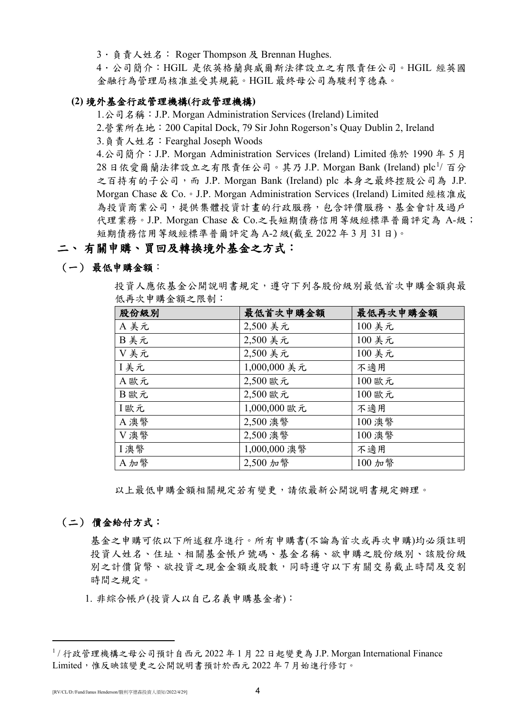3.負責人姓名: Roger Thompson 及 Brennan Hughes.

4.公司簡介:HGIL 是依英格蘭與威爾斯法律設立之有限責任公司。HGIL 經英國 金融行為管理局核准並受其規範。HGIL 最終母公司為駿利亨德森。

## **(2)** 境外基金行政管理機構**(**行政管理機構**)**

1.公司名稱:J.P. Morgan Administration Services (Ireland) Limited

2.營業所在地:200 Capital Dock, 79 Sir John Rogerson's Quay Dublin 2, Ireland

3.負責人姓名:Fearghal Joseph Woods

4.公司簡介:J.P. Morgan Administration Services (Ireland) Limited 係於 1990 年 5 月 28 日依愛爾蘭法律設立之有限責任公司。其乃 J.P. Morgan Bank (Ireland) plc<sup>[1](#page-3-0)</sup>/ 百分 之百持有的子公司,而 J.P. Morgan Bank (Ireland) plc 本身之最終控股公司為 J.P. Morgan Chase & Co. • J.P. Morgan Administration Services (Ireland) Limited 經核准成 為投資商業公司,提供集體投資計畫的行政服務,包含評價服務、基金會計及過戶 代理業務。J.P. Morgan Chase & Co.之長短期債務信用等級經標準普爾評定為 A-級; 短期債務信用等級經標準普爾評定為 A-2 級(截至 2022 年 3 月 31 日)。

## 二、 有關申購、買回及轉換境外基金之方式:

## (一) 最低申購金額:

投資人應依基金公開說明書規定,遵守下列各股份級別最低首次申購金額與最 低再次申購金額之限制:

| 股份級別        | 最低首次申購金額     | 最低再次申購金額 |
|-------------|--------------|----------|
| A美元         | 2,500 美元     | 100 美元   |
| B美元         | 2,500 美元     | 100 美元   |
| V美元         | 2,500 美元     | 100 美元   |
| I美元         | 1,000,000 美元 | 不適用      |
| A歐元         | 2,500 歐元     | 100 歐元   |
| B歐元         | 2,500 歐元     | 100 歐元   |
| I歐元         | 1,000,000 歐元 | 不適用      |
| A澳幣         | 2,500 澳幣     | 100 澳幣   |
| V澳幣         | 2,500 澳幣     | 100 澳幣   |
| <b>I</b> 澳幣 | 1,000,000 澳幣 | 不適用      |
| A 加幣        | 2,500 加幣     | 100 加幣   |

以上最低申購金額相關規定若有變更,請依最新公開說明書規定辦理。

### (二) 價金給付方式:

基金之申購可依以下所述程序進行。所有申購書(不論為首次或再次申購)均必須註明 投資人姓名、住址、相關基金帳戶號碼、基金名稱、欲申購之股份級別、該股份級 別之計價貨幣、欲投資之現金金額或股數,同時遵守以下有關交易截止時間及交割 時間之規定。

1. 非綜合帳戶(投資人以自己名義申購基金者):

<span id="page-3-0"></span> $1/$  行政管理機構之母公司預計自西元 2022 年 1 月 22 日起變更為 J.P. Morgan International Finance Limited,惟反映該變更之公開說明書預計於西元 2022 年 7 月始進行修訂。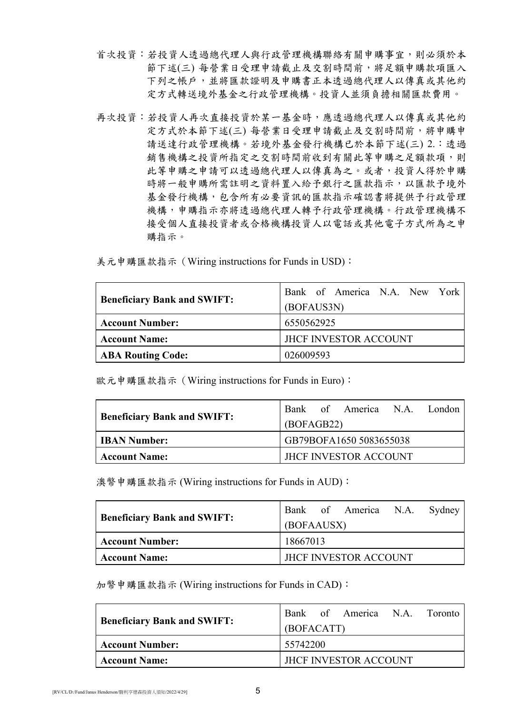- 首次投資:若投資人透過總代理人與行政管理機構聯絡有關申購事宜,則必須於本 節下述(三) 每營業日受理申請截止及交割時間前,將足額申購款項匯入 下列之帳戶,並將匯款證明及申購書正本透過總代理人以傳真或其他約 定方式轉送境外基金之行政管理機構。投資人並須負擔相關匯款費用。
- 再次投資:若投資人再按資於某一基金時,應透過總代理人以傳真或其他約 定方式於本節下述(三) 每營業日受理申請截止及交割時間前,將申購申 請送達行政管理機構。若境外基金發行機構已於本節下述(三) 2.:透過 銷售機構之投資所指定之交割時間前收到有關此等申購之足額款項,則 此等申購之申請可以透過總代理人以傳真為之。或者,投資人得於申購 時將一般申購所需註明之資料置入給予銀行之匯款指示,以匯款予境外 基金發行機構,包含所有必要資訊的匯款指示確認書將提供予行政管理 機構,申購指示亦將透過總代理人轉予行政管理機構。行政管理機構不 接受個人直接投資者必格機構投資人以電話或其他電子方式所為之申 購指示。

美元申購匯款指示(Wiring instructions for Funds in USD):

|                                    | Bank of America N.A. New York |  |  |  |  |
|------------------------------------|-------------------------------|--|--|--|--|
| <b>Beneficiary Bank and SWIFT:</b> | (BOFAUS3N)                    |  |  |  |  |
| <b>Account Number:</b>             | 6550562925                    |  |  |  |  |
| <b>Account Name:</b>               | <b>JHCF INVESTOR ACCOUNT</b>  |  |  |  |  |
| <b>ABA Routing Code:</b>           | 026009593                     |  |  |  |  |

歐元申購匯款指示(Wiring instructions for Funds in Euro):

|                                    |                              |  | Bank of America N.A. London |  |  |
|------------------------------------|------------------------------|--|-----------------------------|--|--|
| <b>Beneficiary Bank and SWIFT:</b> | (BOFAGB22)                   |  |                             |  |  |
| <b>IBAN Number:</b>                | GB79BOFA1650 5083655038      |  |                             |  |  |
| <b>Account Name:</b>               | <b>JHCF INVESTOR ACCOUNT</b> |  |                             |  |  |

澳幣申購匯款指示 (Wiring instructions for Funds in AUD):

|                                    |                              |  | Bank of America N.A. Sydney |  |  |
|------------------------------------|------------------------------|--|-----------------------------|--|--|
| <b>Beneficiary Bank and SWIFT:</b> | (BOFAAUSX)                   |  |                             |  |  |
| <b>Account Number:</b>             | 18667013                     |  |                             |  |  |
| <b>Account Name:</b>               | <b>IHCF INVESTOR ACCOUNT</b> |  |                             |  |  |

加幣申購匯款指示 (Wiring instructions for Funds in CAD):

|                                    |                              |  | Bank of America N.A. Toronto |  |  |
|------------------------------------|------------------------------|--|------------------------------|--|--|
| <b>Beneficiary Bank and SWIFT:</b> | (BOFACATT)                   |  |                              |  |  |
| <b>Account Number:</b>             | 55742200                     |  |                              |  |  |
| <b>Account Name:</b>               | <b>JHCF INVESTOR ACCOUNT</b> |  |                              |  |  |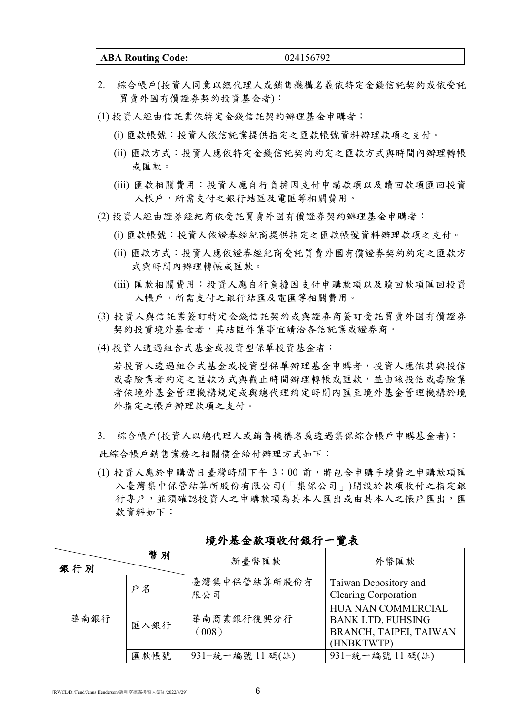| <b>ABA Routing Code:</b> | 024156792 |
|--------------------------|-----------|
|--------------------------|-----------|

- 2. 綜合帳戶(投資人同意以總代理人或銷售機構名義依特定金錢信託契約或依受託 買賣外國有價證券契約投資基金者):
- (1) 投資人經由信託業依特定金錢信託契約辦理基金申購者:
	- (i) 匯款帳號:投資人依信託業提供指定之匯款帳號資料辦理款項之支付。
	- (ii) 匯款方式:投資人應依特定金錢信託契約約定之匯款方式與時間內辦理轉帳 或匯款。
	- (iii) 匯款相關費用:投資人應自行負擔因支付申購款項以及贖回款項匯回投資 人帳戶,所需支付之銀行結匯及電匯等相關費用。
- (2) 投資人經由證券經紀商依受託買賣外國有價證券契約辦理基金申購者:
	- (i) 匯款帳號:投資人依證券經紀商提供指定之匯款帳號資料辦理款項之支付。
	- (ii) 匯款方式:投資人應依證券經紀商受託買賣外國有價證券契約約定之匯款方 式與時間內辦理轉帳或匯款。
	- (iii) 匯款相關費用:投資人應自行負擔因支付申購款項以及贖回款項匯回投資 人帳戶,所需支付之銀行結匯及電匯等相關費用。
- (3) 投資人與信託業簽訂特定金錢信託契約或與證券商簽訂受託買賣外國有價證券 契約投資境外基金者,其結匯作業事宜請洽各信託業或證券商。
- (4) 投資人透過組合式基金或投資型保單投資基金者:

若投資人透過組合式基金或投資型保單辦理基金申購者,投資人應依其與投信 或壽險業者約定之匯款方式與截止時間辦理轉帳或匯款,並由該投信或壽險業 者依境外基金管理機構規定或與總代理約定時間內匯至境外基金管理機構於境 外指定之帳戶辦理款項之支付。

- 3. 綜合帳戶(投資人以總代理人或銷售機構名義透過集保綜合帳戶申購基金者): 此綜合帳戶銷售業務之相關價金給付辦理方式如下:
- (1) 投資人應於申購當日臺灣時間下午 3:00 前,將包含申購手續費之申購款項匯 入臺灣集中保管結算所股份有限公司(「集保公司」)開設於款項收付之指定銀 行專戶,並須確認投資人之申購款項為其本人匯出或由其本人之帳戶匯出,匯 款資料如下:

| 銀行別  | 幣別   | 新臺幣匯款               | 外幣匯款                                                                                          |
|------|------|---------------------|-----------------------------------------------------------------------------------------------|
|      | 戶名   | 臺灣集中保管結算所股份有<br>限公司 | Taiwan Depository and<br><b>Clearing Corporation</b>                                          |
| 華南銀行 | 匯入銀行 | 華南商業銀行復興分行<br>(008) | <b>HUA NAN COMMERCIAL</b><br><b>BANK LTD. FUHSING</b><br>BRANCH, TAIPEI, TAIWAN<br>(HNBKTWTP) |
|      | 匯款帳號 | 931+統一編號 11碼(註)     | 931+統一編號 11碼(註)                                                                               |

## 境外基金款項收付銀行一覽表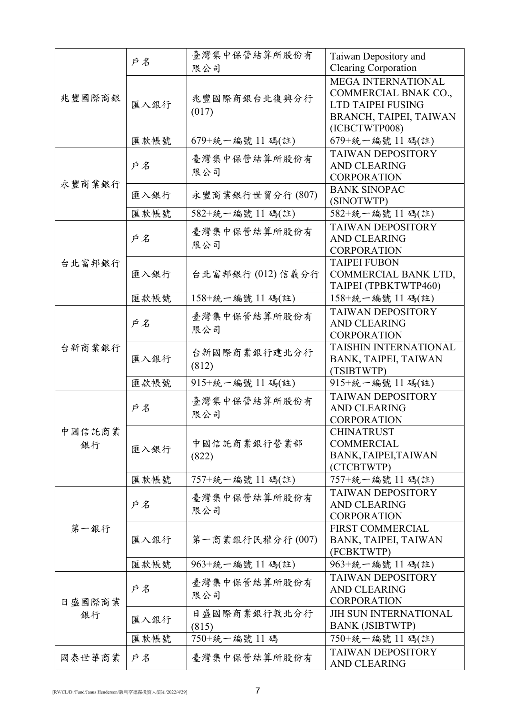|              |      | 臺灣集中保管結算所股份有          | Taiwan Depository and                                                                                             |
|--------------|------|-----------------------|-------------------------------------------------------------------------------------------------------------------|
|              | 戶名   | 限公司                   | <b>Clearing Corporation</b>                                                                                       |
| 兆豐國際商銀       | 匯入銀行 | 兆豐國際商銀台北復興分行<br>(017) | <b>MEGA INTERNATIONAL</b><br>COMMERCIAL BNAK CO.,<br>LTD TAIPEI FUSING<br>BRANCH, TAIPEI, TAIWAN<br>(ICBCTWTP008) |
|              | 匯款帳號 | 679+統一編號 11 碼(註)      | 679+統一編號 11 碼(註)                                                                                                  |
| 永豐商業銀行       | 戶名   | 臺灣集中保管結算所股份有<br>限公司   | <b>TAIWAN DEPOSITORY</b><br><b>AND CLEARING</b><br><b>CORPORATION</b>                                             |
|              | 匯入銀行 | 永豐商業銀行世貿分行(807)       | <b>BANK SINOPAC</b><br>(SINOTWTP)                                                                                 |
|              | 匯款帳號 | 582+統一編號 11碼(註)       | 582+統一編號 11碼(註)                                                                                                   |
|              | 戶名   | 臺灣集中保管結算所股份有<br>限公司   | <b>TAIWAN DEPOSITORY</b><br><b>AND CLEARING</b><br><b>CORPORATION</b>                                             |
| 台北富邦銀行       | 匯入銀行 | 台北富邦銀行(012)信義分行       | <b>TAIPEI FUBON</b><br>COMMERCIAL BANK LTD,<br>TAIPEI (TPBKTWTP460)                                               |
|              | 匯款帳號 | 158+統一編號 11 碼(註)      | 158+統一編號 11 碼(註)                                                                                                  |
|              | 戶名   | 臺灣集中保管結算所股份有<br>限公司   | <b>TAIWAN DEPOSITORY</b><br><b>AND CLEARING</b><br><b>CORPORATION</b>                                             |
| 台新商業銀行       | 匯入銀行 | 台新國際商業銀行建北分行<br>(812) | TAISHIN INTERNATIONAL<br>BANK, TAIPEI, TAIWAN<br>(TSIBTWTP)                                                       |
|              | 匯款帳號 | 915+統一編號 11碼(註)       | 915+統一編號 11碼(註)                                                                                                   |
|              | 戶名   | 臺灣集中保管結算所股份有<br>限公司   | <b>TAIWAN DEPOSITORY</b><br><b>AND CLEARING</b><br><b>CORPORATION</b>                                             |
| 中國信託商業<br>銀行 | 匯入銀行 | 中國信託商業銀行營業部<br>(822)  | <b>CHINATRUST</b><br><b>COMMERCIAL</b><br>BANK, TAIPEI, TAIWAN<br>(CTCBTWTP)                                      |
|              | 匯款帳號 | 757+統一編號 11碼(註)       | 757+統一編號 11碼(註)                                                                                                   |
|              | 戶名   | 臺灣集中保管結算所股份有<br>限公司   | <b>TAIWAN DEPOSITORY</b><br><b>AND CLEARING</b><br><b>CORPORATION</b>                                             |
| 第一銀行         | 匯入銀行 | 第一商業銀行民權分行(007)       | <b>FIRST COMMERCIAL</b><br>BANK, TAIPEI, TAIWAN<br>(FCBKTWTP)                                                     |
|              | 匯款帳號 | 963+統一編號 11 碼(註)      | 963+統一編號 11碼(註)                                                                                                   |
| 日盛國際商業<br>銀行 | 戶名   | 臺灣集中保管結算所股份有<br>限公司   | <b>TAIWAN DEPOSITORY</b><br><b>AND CLEARING</b><br><b>CORPORATION</b>                                             |
|              | 匯入銀行 | 日盛國際商業銀行敦北分行<br>(815) | <b>JIH SUN INTERNATIONAL</b><br><b>BANK (JSIBTWTP)</b>                                                            |
|              | 匯款帳號 | 750+統一編號 11 碼         | 750+統一編號 11 碼(註)                                                                                                  |
| 國泰世華商業       | 戶名   | 臺灣集中保管結算所股份有          | <b>TAIWAN DEPOSITORY</b><br><b>AND CLEARING</b>                                                                   |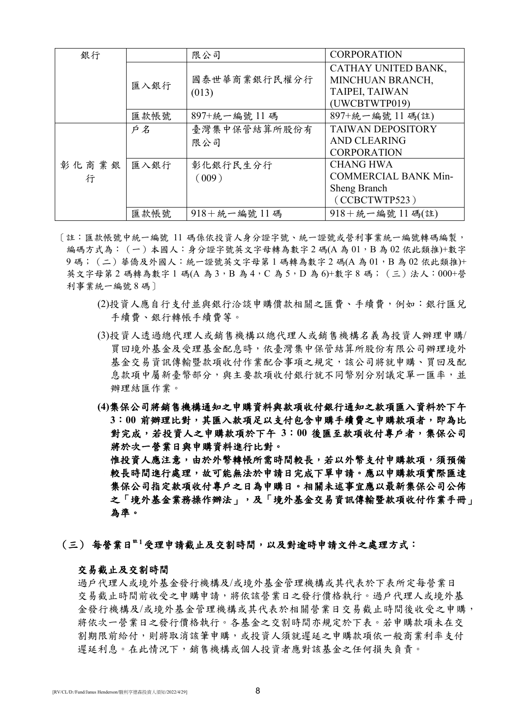| 銀行    |      | 限公司                   | <b>CORPORATION</b>          |
|-------|------|-----------------------|-----------------------------|
|       |      |                       | CATHAY UNITED BANK,         |
|       | 匯入銀行 | 國泰世華商業銀行民權分行          | MINCHUAN BRANCH,            |
|       |      | (013)                 | TAIPEI, TAIWAN              |
|       |      |                       | (UWCBTWTP019)               |
|       | 匯款帳號 | 897+統一編號 11碼          | 897+統一編號 11碼(註)             |
|       | 戶名   | 臺灣集中保管結算所股份有          | <b>TAIWAN DEPOSITORY</b>    |
|       |      | 限公司                   | <b>AND CLEARING</b>         |
|       |      |                       | <b>CORPORATION</b>          |
| 彰化商業銀 | 匯入銀行 | 彰化銀行民生分行              | <b>CHANG HWA</b>            |
| 行     |      | (009)                 | <b>COMMERCIAL BANK Min-</b> |
|       |      |                       | Sheng Branch                |
|       |      |                       | (CCBCTWTP523)               |
|       | 匯款帳號 | $918 + 56 - 56$ 號 11碼 | 918+統一編號 11碼(註)             |

[註:匯款帳號中統一編號 11 碼係依投資人身分證字號、統一證號或營利事業統一編號轉碼編製, 編碼方式為: (一)本國人:身分證字號英文字母轉為數字 2 碼(A 為 01,B 為 02 依此類推)+數字 9碼; (二)華僑及外國人:統一證號英文字母第1碼轉為數字2碼(A為01,B為02依此類推)+ 英文字母第 2 碼轉為數字 1 碼(A 為 3, B 為 4, C 為 5, D 為 6)+數字 8 碼; (三)法人: 000+營 利事業統一編號 8 碼]

- (2)投資人應自行支付並與銀行洽談申購價款相關之匯費、手續費,例如:銀行匯兌 手續費、銀行轉帳手續費等。
- (3)投資人透過總代理人或銷售機構以總代理人或銷售機構名義為投資人辦理申購/ 買回境外基金及受理基金配息時,依臺灣集中保管結算所股份有限公司辦理境外 基金交易資訊傳輸暨款項收付作業配合事項之規定,該公司將就申購、買回及配 息款項中屬新臺幣部分,與主要款項收付銀行就不同幣別分別議定單一匯率,並 辦理結匯作業。
- **(4)**集保公司將銷售機構通知之申購資料與款項收付銀行通知之款項匯入資料於下午 3:00 前辦理比對,其匯入款項足以支付包含申購手續費之申購款項者,即為比 對完成,若投資人之申購款項於下午 **3**:**00** 後匯至款項收付專戶者,集保公司 將於次一營業日與申購資料進行比對。 惟投資人應注意,由於外幣轉帳所需時間較長,若以外幣支付申購款項,須預備 較長時間進行處理,故可能無法於申請日完成下單申請。應以申購款項實際匯達 集保公司指定款項收付專戶之日為申購日。相關未述事宜應以最新集保公司公佈 之「境外基金業務操作辦法」,及「境外基金交易資訊傳輸暨款項收付作業手冊」

(三) 每營業日註 **<sup>1</sup>**受理申請截止及交割時間,以及對逾時申請文件之處理方式:

#### 交易截止及交割時間

為準。

過戶代理人或境外基金發行機構及/或境外基金管理機構或其代表於下表所定每營業日 交易截止時間前收受之申購申請,將依該營業日之發行價格執行。過戶代理人或境外基 金發行機構及/或境外基金管理機構或其代表於相關營業日交易截止時間後收受之申購, 將依次一營業日之發行價格執行。各基金之交割時間亦規定於下表。若申購款項未在交 割期限前給付,則將取消該筆申購,或投資人須就遲延之申購款項依一般商業利率支付 遲延利息。在此情況下,銷售機構或個人投資者應對該基金之任何損失負責。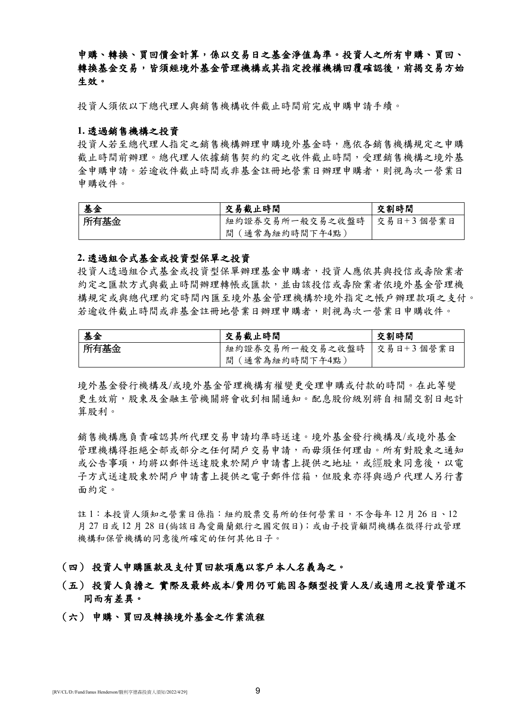申購、轉換、買回價金計算,係以交易日之基金淨值為準。投資人之所有申購、買回、 轉換基金交易,皆須經境外基金管理機構或其指定授權機構回覆確認後,前揭交易方始 生效。

投資人須依以下總代理人與銷售機構收件截止時間前完成申購申請手續。

#### **1.** 透過銷售機構之投資

投資人若至總代理人指定之銷售機構辦理申購境外基金時,應依各銷售機構規定之申購 截止時間前辦理。總代理人依據銷售契約約定之收件截止時間,受理銷售機構之境外基 金申購申請。若逾收件截止時間或非基金註冊地營業日辦理申購者,則視為次一營業日 申購收件。

| 基金   | 交易截止時間                      | 交割時間 |
|------|-----------------------------|------|
| 所有基金 | 紐約證券交易所一般交易之收盤時   交易日+3個營業日 |      |
|      | 間(通常為紐約時間下午4點)              |      |

#### **2.** 透過組合式基金或投資型保單之投資

投資人透過組合式基金或投資型保單辦理基金申購者,投資人應依其與投信或壽險業者 約定之匯款方式與截止時間辦理轉帳或匯款,並由該投信或壽險業者依境外基金管理機 構規定或與總代理約定時間內匯至境外基金管理機構於境外指定之帳戶辦理款項之支付。 若逾收件截止時間或非基金註冊地營業日辦理申購者,則視為次一營業日申購收件。

| 基金   | 交易截止時間                      | 交割時間 |
|------|-----------------------------|------|
| 所有基金 | 紐約證券交易所一般交易之收盤時   交易日+3個營業日 |      |
|      | 間 (通常為紐約時間下午4點)             |      |

境外基金發行機構及/或境外基金管理機構有權變更受理申購或付款的時間。在此等變 更生效前,股東及金融主管機關將會收到相關通知。配息股份級別將自相關交割日起計 算股利。

銷售機構應負責確認其所代理交易申請均準時送達。境外基金發行機構及/或境外基金 管理機構得拒絕全部或部分之任何開戶交易申請,而毋須任何理由。所有對股東之通知 或公告事項,均將以郵件送達股東於開戶申請書上提供之地址,或經股東同意後,以電 子方式送達股東於開戶申請書上提供之電子郵件信箱,但股東亦得與過戶代理人另行書 面約定。

註 1:本投資人須知之營業日係指:紐約股票交易所的任何營業日,不含每年 12 月 26 日、12 月 27 日或 12 月 28 日(倘該日為愛爾蘭銀行之國定假日);或由子投資顧問機構在徵得行政管理 機構和保管機構的同意後所確定的任何其他日子。

#### (四) 投資人申購匯款及支付買回款項應以客戶本人名義為之。

## (五) 投資人負擔之 實際及最終成本**/**費用仍可能因各類型投資人及**/**或適用之投資管道不 同而有差異。

## (六) 申購、買回及轉換境外基金之作業流程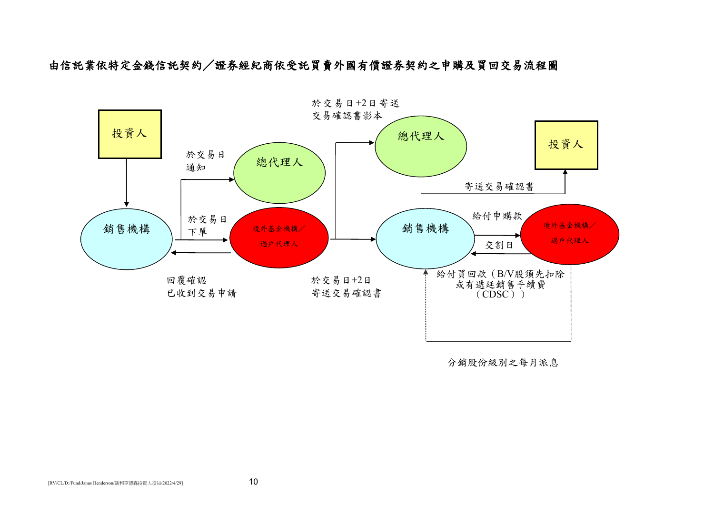由信託業依特定金錢信託契約/證券經紀商依受託買賣外國有價證券契約之申購及買回交易流程圖



分銷股份級別之每月派息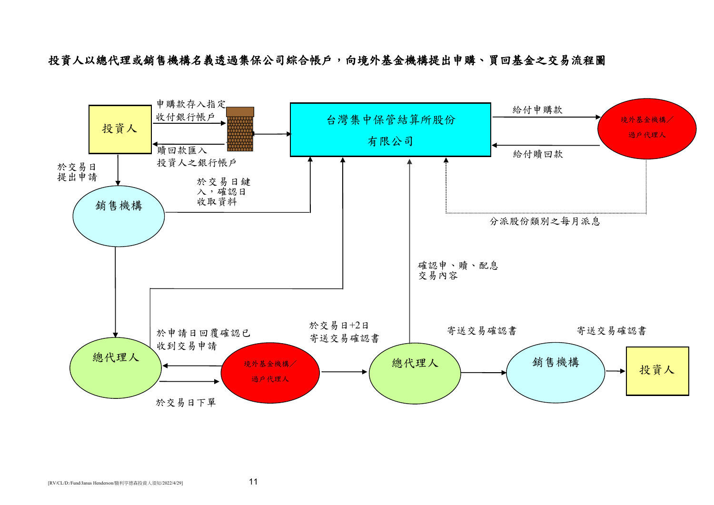投資人以總代理或銷售機構名義透過集保公司綜合帳戶,向境外基金機構提出申購、買回基金之交易流程圖

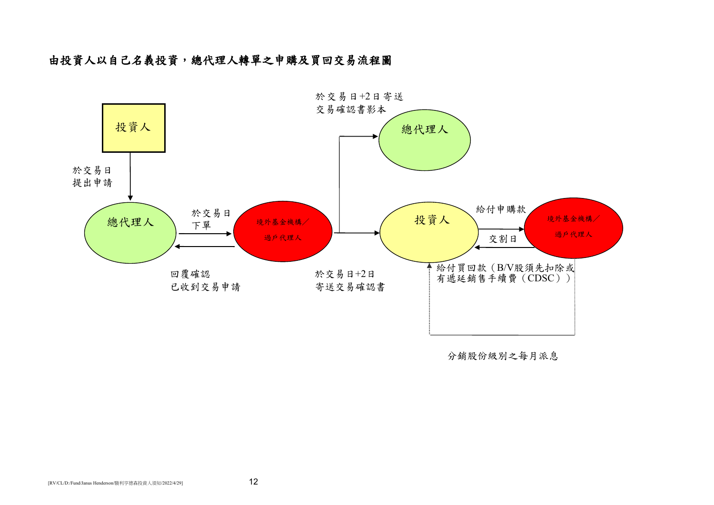## 由投資人以自己名義投資,總代理人轉單之申購及買回交易流程圖



分銷股份級別之每月派息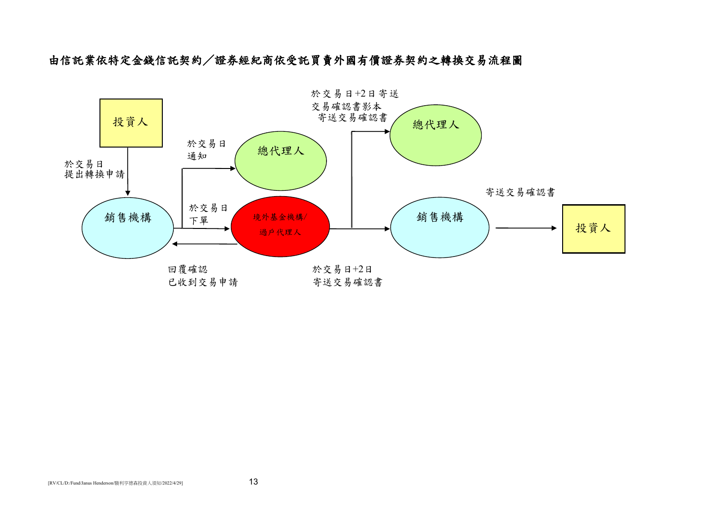由信託業依特定金錢信託契約/證券經紀商依受託買賣外國有價證券契約之轉換交易流程圖

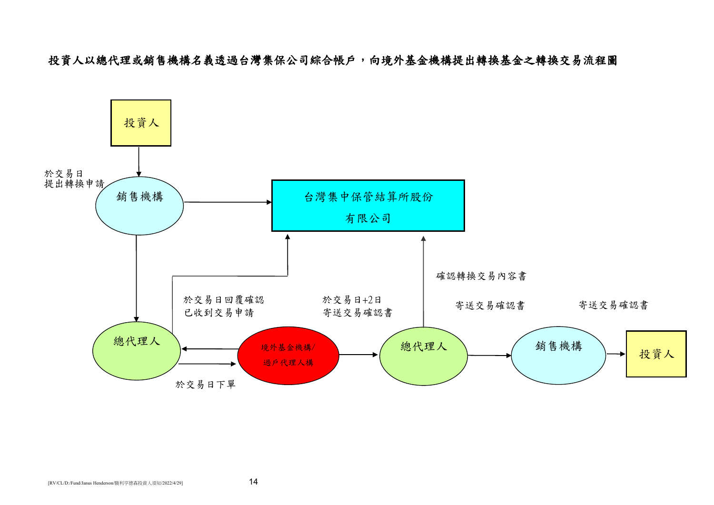投資人以總代理或銷售機構名義透過台灣集保公司綜合帳戶,向境外基金機構提出轉換基金之轉換交易流程圖

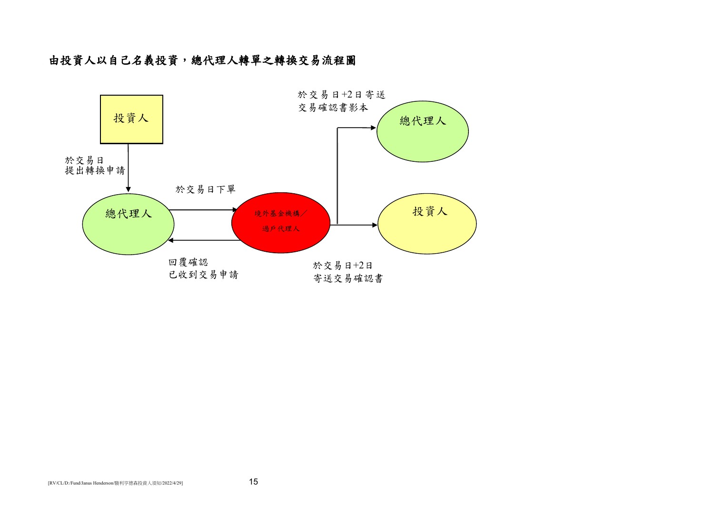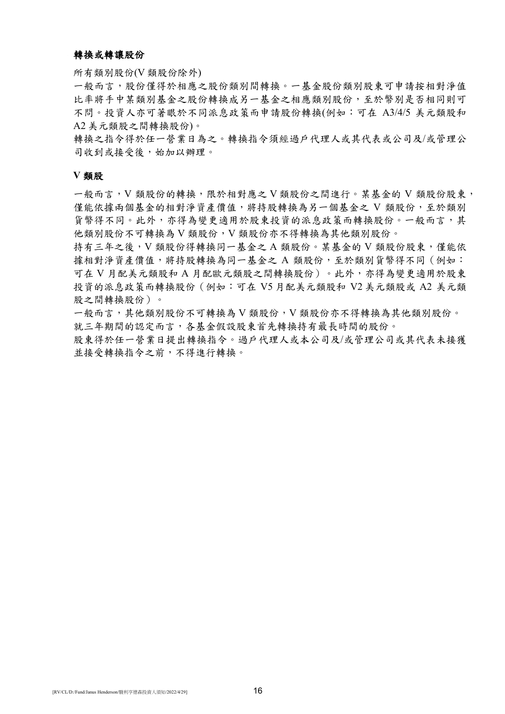#### 轉換或轉讓股份

所有類別股份(V 類股份除外)

一般而言,股份僅得於相應之股份類別間轉換。一基金股份類別股東可申請按相對淨值 比率將手中某類別基金之股份轉換成另一基金之相應類別股份,至於幣別是否相同則可 不問。投資人亦可著眼於不同派息政策而申請股份轉換(例如:可在 A3/4/5 美元類股和 A2 美元類股之間轉換股份)。

轉換之指令得於任一營業日為之。轉換指令須經過戶代理人或其代表或公司及/或管理公 司收到或接受後,始加以辦理。

#### **V** 類股

一般而言,V 類股份的轉換,限於相對應之 V 類股份之間進行。某基金的 V 類股份股東, 僅能依據兩個基金的相對淨資產價值,將持股轉換為另一個基金之 V 類股份,至於類別 貨幣得不同。此外,亦得為變更適用於股東投資的派息政策而轉換股份。一般而言,其 他類別股份不可轉換為 V 類股份,V 類股份亦不得轉換為其他類別股份。

持有三年之後,V 類股份得轉換同一基金之 A 類股份。某基金的 V 類股份股東,僅能依 據相對淨資產價值,將持股轉換為同一基金之 A 類股份,至於類別貨幣得不同(例如: 可在 V 月配美元類股和 A 月配歐元類股之間轉換股份)。此外,亦得為變更適用於股東 投資的派息政策而轉換股份(例如:可在 V5 月配美元類股和 V2 美元類股或 A2 美元類 股之間轉換股份)。

一般而言,其他類別股份不可轉換為 V 類股份, V 類股份亦不得轉換為其他類別股份。 就三年期間的認定而言,各基金假設股東首先轉換持有最長時間的股份。

股東得於任一營業日提出轉換指令。過戶代理人或本公司及/或管理公司或其代表未接獲 並接受轉換指令之前,不得進行轉換。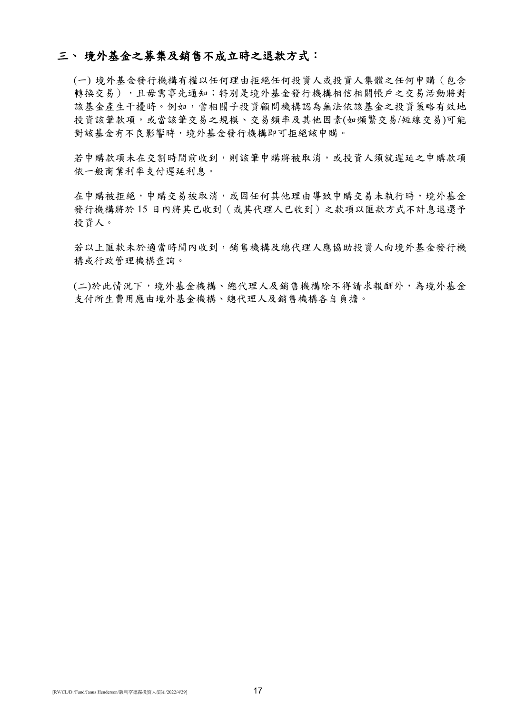## 三、 境外基金之募集及銷售不成立時之退款方式:

(一) 境外基金發行機構有權以任何理由拒絕任何投資人或投資人集體之任何申購(包含 轉換交易),且毋需事先通知;特別是境外基金發行機構相信相關帳戶之交易活動將對 該基金產生干擾時。例如,當相關子投資顧問機構認為無法依該基金之投資策略有效地 投資該筆款項,或當該筆交易之規模、交易頻率及其他因素(如頻繁交易/短線交易)可能 對該基金有不良影響時,境外基金發行機構即可拒絕該申購。

若申購款項未在交割時間前收到,則該筆申購將被取消,或投資人須就遲延之申購款項 依一般商業利率支付遲延利息。

在申購被拒絕,申購交易被取消,或因任何其他理由導致申購交易未執行時,境外基金 發行機構將於 15 日內將其已收到(或其代理人已收到)之款項以匯款方式不計息退還予 投資人。

若以上匯款未於適當時間內收到,銷售機構及總代理人應協助投資人向境外基金發行機 構或行政管理機構查詢。

(二)於此情況下,境外基金機構、總代理人及銷售機構除不得請求報酬外,為境外基金 支付所生費用應由境外基金機構、總代理人及銷售機構各自負擔。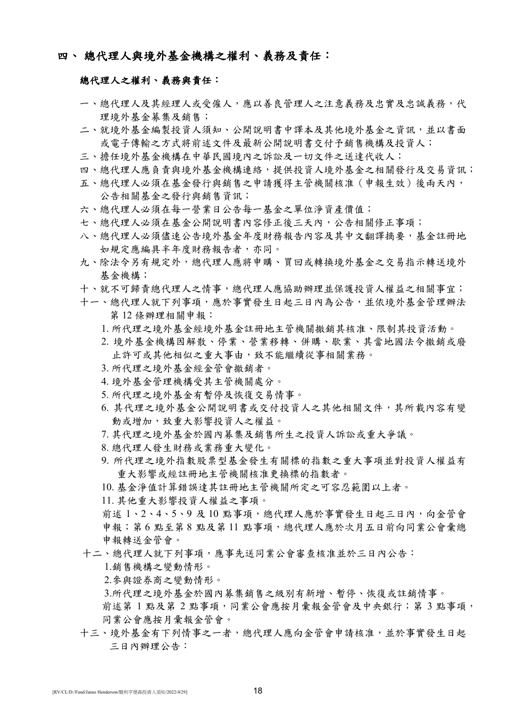## 四、 總代理人與境外基金機構之權利、義務及責任:

## 總代理人之權利、義務與責任:

- 一、總代理人及其經理人或受僱人,應以善良管理人之注意義務及忠實及忠誠義務,代 理境外基金募集及銷售;
- 二、就境外基金編製投資人須知、公開說明書中譯本及其他境外基金之資訊,並以書面 或電子傳輸之方式將前述文件及最新公開說明書交付予銷售機構及投資人;
- 三、擔任境外基金機構在中華民國境內之訴訟及一切文件之送達代收人;
- 四、總代理人應負責與境外基金機構連絡,提供投資人境外基金之相關發行及交易資訊;
- 五、總代理人必須在基金發行與銷售之申請獲得主管機關核准(申報生效)後兩天內, 公告相關基金之發行與銷售資訊;
- 六、總代理人必須在每一營業日公告每一基金之單位淨資產價值;
- 七、總代理人必須在基金公開說明書內容修正後三天內,公告相關修正事項;
- 八、總代理人必須儘速公告境外基金年度財務報告內容及其中文翻譯摘要,基金註冊地 如規定應編具半年度財務報告者,亦同。
- 九、除法令另有規定外,總代理人應將申購、買回或轉換境外基金之交易指示轉送境外 基金機構;
- 十、就不可歸責總代理人之情事,總代理人應協助辦理並保護投資人權益之相關事宜;
- 十一、總代理人就下列事項,應於事實發生日起三日內為公告,並依境外基金管理辦法 第 12 條辦理相關申報:
	- 1. 所代理之境外基金經境外基金註冊地主管機關撤銷其核准、限制其投資活動。
	- 2. 境外基金機構因解散、停業、營業移轉、併購、歇業、其當地國法令撤銷或廢 止許可或其他相似之重大事由,致不能繼續從事相關業務。
	- 3. 所代理之境外基金經金管會撤銷者。
	- 4. 境外基金管理機構受其主管機關處分。
	- 5. 所代理之境外基金有暫停及恢復交易情事。
	- 6. 其代理之境外基金公開說明書或交付投資人之其他相關文件,其所載內容有變 動或增加,致重大影響投資人之權益。
	- 7. 其代理之境外基金於國內募集及銷售所生之投資人訴訟或重大爭議。
	- 8. 總代理人發生財務或業務重大變化。
	- 9. 所代理之境外指數股票型基金發生有關標的指數之重大事項並對投資人權益有 重大影響或經註冊地主管機關核准更換標的指數者。
	- 10. 基金淨值計算錯誤達其註冊地主管機關所定之可容忍範圍以上者。
	- 11. 其他重大影響投資人權益之事項。

前述 1、2、4、5、9及10點事項,總代理人應於事實發生日起三日內,向金管會 申報;第6點至第8點及第11點事項,總代理人應於次月五日前向同業公會彙總 申報轉送金管會。

十二、總代理人就下列事項,應事先送同業公會審查核准並於三日內公告:

1.銷售機構之變動情形。

- 2.參與證券商之變動情形。
- 3.所代理之境外基金於國內募集銷售之級別有新增、暫停、恢復或註銷情事。

前述第 1 點及第 2 點事項,同業公會應按月彙報金管會及中央銀行;第 3 點事項, 同業公會應按月彙報金管會。

十三、境外基金有下列情事之一者,總代理人應向金管會申請核准,並於事實發生日起 三日內辦理公告: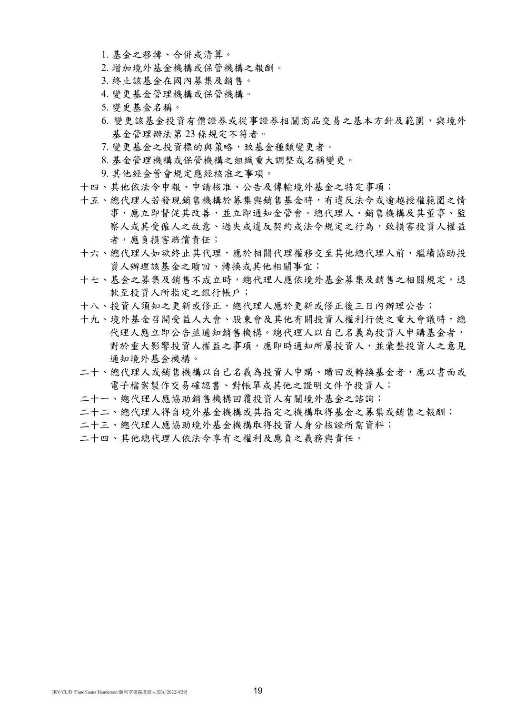- 1. 基金之移轉、合併或清算。
- 2. 增加境外基金機構或保管機構之報酬。
- 3. 終止該基金在國內募集及銷售。
- 4. 變更基金管理機構或保管機構。
- 5. 變更基金名稱。
- 6. 變更該基金投資有價證券或從事證券相關商品交易之基本方針及範圍,與境外 基金管理辦法第 23 條規定不符者。
- 7. 變更基金之投資標的與策略,致基金種類變更者。
- 8. 基金管理機構或保管機構之組織重大調整或名稱變更。
- 9. 其他經金管會規定應經核准之事項。
- 十四、其他依法令申報、申請核准、公告及傳輸境外基金之特定事項;
- 十五、總代理人若發現銷售機構於募集與銷售基金時,有違反法令或逾越授權範圍之情 事,應立即督促其改善,並立即通知金管會。總代理人、銷售機構及其董事、監 察人或其受僱人之故意、過失或違反契約或法令規定之行為,致損害投資人權益 者,應負損害賠償責任;
- 十六、總代理人如欲終止其代理,應於相關代理權移交至其他總代理人前,繼續協助投 資人辦理該基金之贖回、轉換或其他相關事宜;
- 十七、基金之募集及銷售不成立時,總代理人應依境外基金募集及銷售之相關規定,退 款至投資人所指定之銀行帳戶;
- 十八、投資人須知之更新或修正,總代理人應於更新或修正後三日內辦理公告;
- 十九、境外基金召開受益人大會、股東會及其他有關投資人權利行使之重大會議時,總 代理人應立即公告並通知銷售機構。總代理人以自己名義為投資人申購基金者, 對於重大影響投資人權益之事項,應即時通知所屬投資人,並彙整投資人之意見 通知境外基金機構。
- 二十、總代理人或銷售機構以自己名義為投資人申購、贖回或轉換基金者,應以書面或 電子檔案製作交易確認書、對帳單或其他之證明文件予投資人;
- 二十一、總代理人應協助銷售機構回覆投資人有關境外基金之諮詢;
- 二十二、總代理人得自境外基金機構或其指定之機構取得基金之募集或銷售之報酬;
- 二十三、總代理人應協助境外基金機構取得投資人身分核證所需資料;
- 二十四、其他總代理人依法令享有之權利及應負之義務與責任。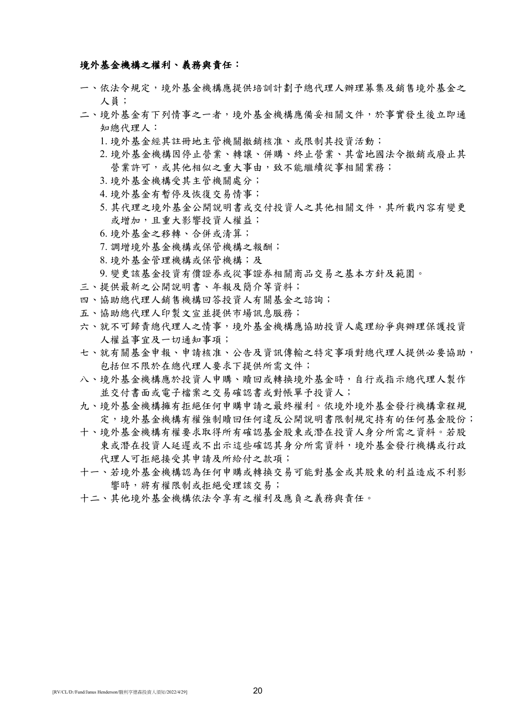### 境外基金機構之權利、義務與責任:

- 一、依法令規定,境外基金機構應提供培訓計劃予總代理人辦理募集及銷售境外基金之 人員;
- 二、境外基金有下列情事之一者,境外基金機構應備妥相關文件,於事實發生後立即通 知總代理人:
	- 1. 境外基金經其註冊地主管機關撤銷核准、或限制其投資活動;
	- 2. 境外基金機構因停止營業、轉讓、併購、終止營業、其當地國法令撤銷或廢止其 營業許可,或其他相似之重大事由,致不能繼續從事相關業務;
	- 3. 境外基金機構受其主管機關處分;
	- 4. 境外基金有暫停及恢復交易情事;
	- 5. 其代理之境外基金公開說明書或交付投資人之其他相關文件, 其所載內容有變更 或增加,且重大影響投資人權益;
	- 6. 境外基金之移轉、合併或清算;
	- 7. 調增境外基金機構或保管機構之報酬;
	- 8. 境外基金管理機構或保管機構;及

9. 變更該基金投資有價證券或從事證券相關商品交易之基本方針及範圍。

- 三、提供最新之公開說明書、年報及簡介等資料;
- 四、協助總代理人銷售機構回答投資人有關基金之諮詢;
- 五、協助總代理人印製文宣並提供市場訊息服務;
- 六、就不可歸責總代理人之情事,境外基金機構應協助投資人處理紛爭與辦理保護投資 人權益事宜及一切通知事項;
- 七、就有關基金申報、申請核准、公告及資訊傳輸之特定事項對總代理人提供必要協助, 包括但不限於在總代理人要求下提供所需文件;
- 八、境外基金機構應於投資人申購、贖回或轉換境外基金時,自行或指示總代理人製作 並交付書面或電子檔案之交易確認書或對帳單予投資人;
- 九、境外基金機構擁有拒絕任何申購申請之最終權利。依境外境外基金發行機構章程規 定,境外基金機構有權強制贖回任何違反公開說明書限制規定持有的任何基金股份;
- 十、境外基金機構有權要求取得所有確認基金股東或潛在投資人身分所需之資料。若股 東或潛在投資人延遲或不出示這些確認其身分所需資料,境外基金發行機構或行政 代理人可拒絕接受其申請及所給付之款項;
- 十一、若境外基金機構認為任何申購或轉換交易可能對基金或其股東的利益造成不利影 響時,將有權限制或拒絕受理該交易;
- 十二、其他境外基金機構依法令享有之權利及應負之義務與責任。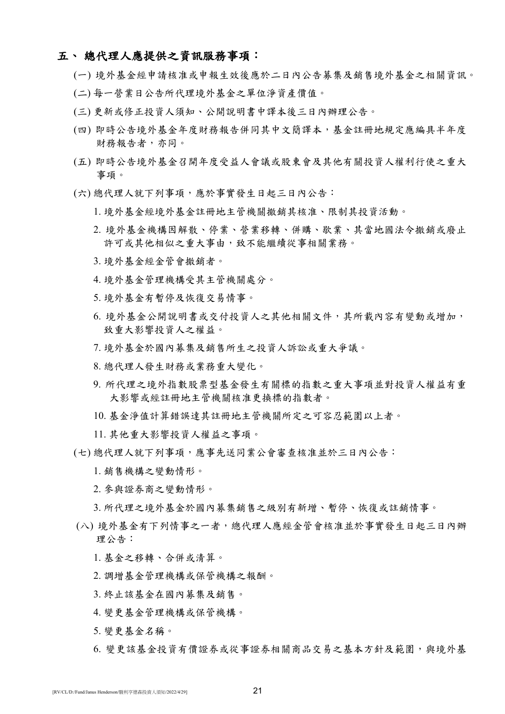## 五、 總代理人應提供之資訊服務事項:

- (一) 境外基金經申請核准或申報生效後應於二日內公告募集及銷售境外基金之相關資訊。
- (二) 每一營業日公告所代理境外基金之單位淨資產價值。
- (三) 更新或修正投資人須知、公開說明書中譯本後三日內辦理公告。
- (四) 即時公告境外基金年度財務報告併同其中文簡譯本,基金註冊地規定應編具半年度 財務報告者,亦同。
- (五) 即時公告境外基金召開年度受益人會議或股東會及其他有關投資人權利行使之重大 事項。
- (六) 總代理人就下列事項,應於事實發生日起三日內公告:
	- 1. 境外基金經境外基金註冊地主管機關撤銷其核准、限制其投資活動。
	- 2. 境外基金機構因解散、停業、營業移轉、併購、歇業、其當地國法令撤銷或廢止 許可或其他相似之重大事由,致不能繼續從事相關業務。
	- 3. 境外基金經金管會撤銷者。
	- 4. 境外基金管理機構受其主管機關處分。
	- 5. 境外基金有暫停及恢復交易情事。
	- 6. 境外基金公開說明書或交付投資人之其他相關文件,其所載內容有變動或增加, 致重大影響投資人之權益。
	- 7. 境外基金於國內募集及銷售所生之投資人訴訟或重大爭議。
	- 8. 總代理人發生財務或業務重大變化。
	- 9. 所代理之境外指數股票型基金發生有關標的指數之重大事項並對投資人權益有重 大影響或經註冊地主管機關核准更換標的指數者。
	- 10. 基金淨值計算錯誤達其註冊地主管機關所定之可容忍範圍以上者。
	- 11. 其他重大影響投資人權益之事項。
- (七) 總代理人就下列事項,應事先送同業公會審查核准並於三日內公告:
	- 1. 銷售機構之變動情形。
	- 2. 參與證券商之變動情形。

3. 所代理之境外基金於國內募集銷售之級別有新增、暫停、恢復或註銷情事。

- (八) 境外基金有下列情事之一者,總代理人應經金管會核准並於事實發生日起三日內辦 理公告:
	- 1. 基金之移轉、合併或清算。
	- 2. 調增基金管理機構或保管機構之報酬。
	- 3. 終止該基金在國內募集及銷售。
	- 4. 變更基金管理機構或保管機構。
	- 5. 變更基金名稱。
	- 6. 變更該基金投資有價證券或從事證券相關商品交易之基本方針及範圍,與境外基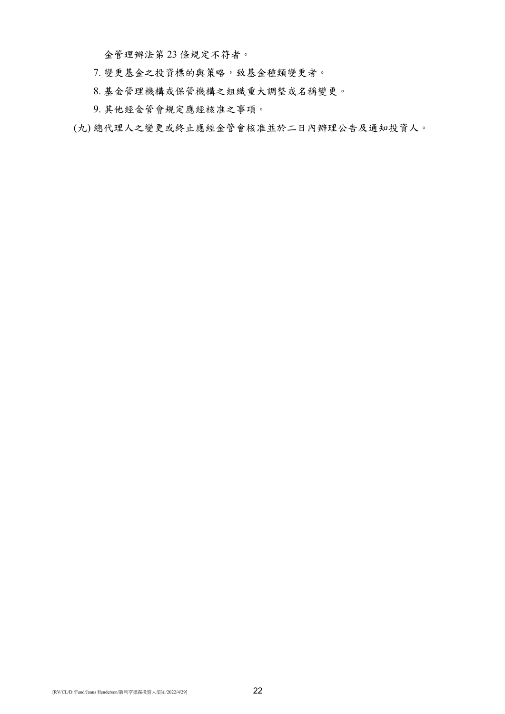金管理辦法第 23 條規定不符者。

- 7. 變更基金之投資標的與策略,致基金種類變更者。
- 8. 基金管理機構或保管機構之組織重大調整或名稱變更。
- 9. 其他經金管會規定應經核准之事項。
- (九) 總代理人之變更或終止應經金管會核准並於二日內辦理公告及通知投資人。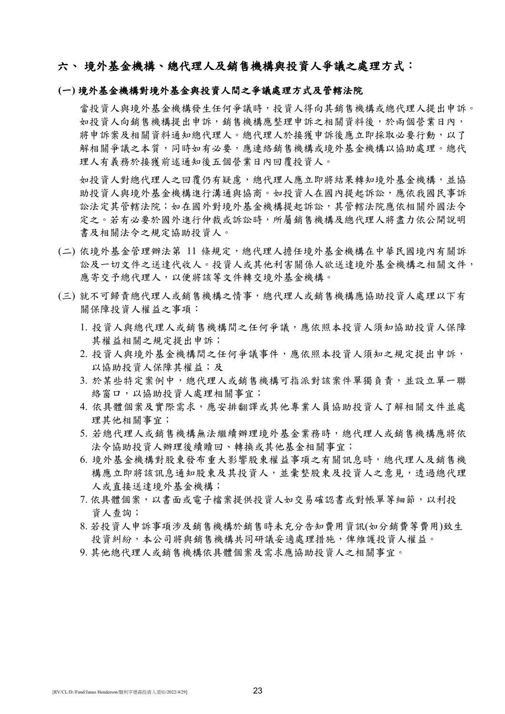## 六、境外基金機構、總代理人及銷售機構與投資人爭議之處理方式:

## **(**一**)** 境外基金機構對境外基金與投資人間之爭議處理方式及管轄法院

當投資人與境外基金機構發生任何爭議時,投資人得向其銷售機構或總代理人提出申訴。 如投資人向銷售機構提出申訴,銷售機構應整理申訴之相關資料後,於兩個營業日內, 將申訴案及相關資料通知總代理人。總代理人於接獲申訴後應立即採取必要行動,以了 解相關爭議之本質,同時如有必要,應連絡銷售機構或境外基金機構以協助處理。總代 理人有義務於接獲前述通知後五個營業日內回覆投資人。

如投資人對總代理人有疑慮,總代理人應立即將結果轉知境外基金機構,並協 助投資人與境外基金機構進行溝通與協商。如投資人在國內提起訴訟,應依我國民事訴 訟法定其管轄法院;如在國外對境外基金機構提起訴訟,其管轄法院應依相關外國法令 定之。若有必要於國外進行仲裁或訴訟時,所屬銷售機構及總代理人將盡力依公開說明 書及相關法令之規定協助投資人。

- (二) 依境外基金管理辦法第 11 條規定,總代理人擔任境外基金機構在中華民國境內有關訴 訟及一切文件之送達代收人。投資人或其他利害關係人欲送達境外基金機構之相關文件, 應寄交予總代理人,以便將該等文件轉交境外基金機構。
- (三) 就不可歸責總代理人或銷售機構之情事,總代理人或銷售機構應協助投資人處理以下有 關保障投資人權益之事項:
	- 1. 投資人與總代理人或銷售機構間之任何爭議,應依照本投資人須知協助投資人保障 其權益相關之規定提出申訴;
	- 2. 投資人與境外基金機構間之任何爭議事件,應依照本投資人須知之規定提出申訴, 以協助投資人保障其權益;及
	- 3. 於某些特定案例中,總代理人或銷售機構可指派對該案件單獨負責,並設立單一聯 絡窗口,以協助投資人處理相關事宜;
	- 4. 依具體個案及實際需求,應安排翻譯或其他專業人員協助投資人了解相關文件並處 理其他相關事宜;
	- 5. 若總代理人或銷售機構無法繼續辦理境外基金業務時,總代理人或銷售機構應將依 法令協助投資人辦理後續贖回、轉換或其他基金相關事宜;
	- 6. 境外基金機構對股東發布重大影響股東權益事項之有關訊息時,總代理人及銷售機 構應立即將該訊息通知股東及其投資人,並彙整股東及投資人之意見,透過總代理 人或直接送達境外基金機構;
	- 7. 依具體個案, 以書面或電子檔案提供投資人如交易確認書或對帳單等細節, 以利投 資人查詢;
	- 8. 若投資人申訴事項涉及銷售機構於銷售時未充分告知費用資訊(如分銷費等費用)致生 投資糾紛,本公司將與銷售機構共同研議妥適處理措施,俾維護投資人權益。
	- 9. 其他總代理人或銷售機構依具體個案及需求應協助投資人之相關事宜。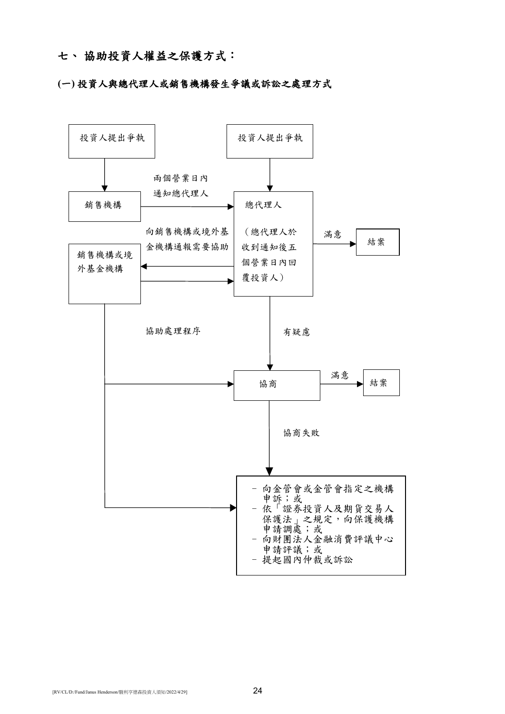## 七、 協助投資人權益之保護方式:

## **(**一**)** 投資人與總代理人或銷售機構發生爭議或訴訟之處理方式

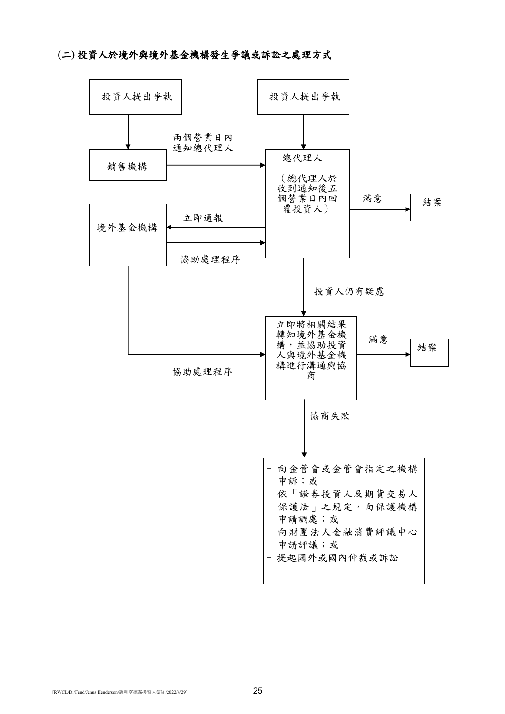## **(**二**)** 投資人於境外與境外基金機構發生爭議或訴訟之處理方式

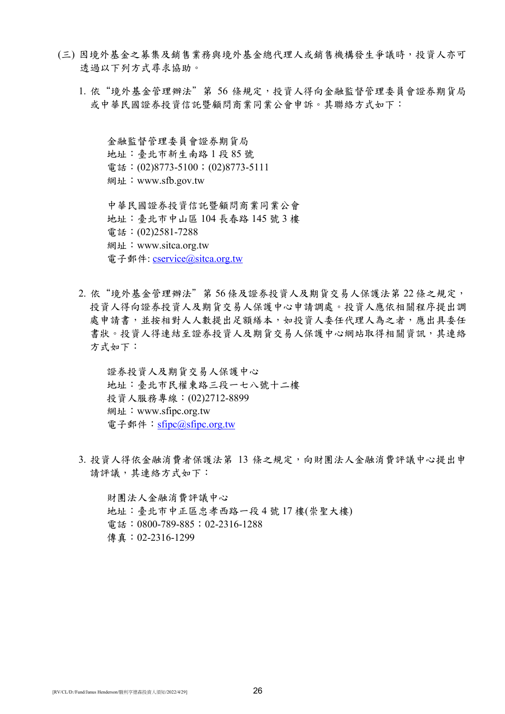- (三) 因境外基金之募集及銷售業務與境外基金總代理人或銷售機構發生爭議時,投資人亦可 透過以下列方式尋求協助。
	- 1. 依"境外基金管理辦法"第 56 條規定,投資人得向金融監督管理委員會證券期貨局 或中華民國證券投資信託暨顧問商業同業公會申訴。其聯絡方式如下:

金融監督管理委員會證券期貨局 地址:臺北市新生南路 1 段 85 號 電話: (02)8773-5100; (02)8773-5111 網址:www.sfb.gov.tw

中華民國證券投資信託暨顧問商業同業公會 地址:臺北市中山區 104 長春路 145 號 3 樓 電話:(02)2581-7288 網址:www.sitca.org.tw 電子郵件: [cservice@sitca.org.tw](mailto:cservice@sitca.org.tw)

2. 依"境外基金管理辦法"第 56 條及證券投資人及期貨交易人保護法第 22 條之規定, 投資人得向證券投資人及期貨交易人保護中心申請調處。投資人應依相關程序提出調 處申請書,並按相對人人數提出足額繕本,如投資人委任代理人為之者,應出具委任 書狀。投資人得連結至證券投資人及期貨交易人保護中心網站取得相關資訊,其連絡 方式如下:

證券投資人及期貨交易人保護中心 地址:臺北市民權東路三段一七八號十二樓 投資人服務專線:(02)2712-8899 網址:www.sfipc.org.tw 電子郵件: [sfipc@sfipc.org.tw](mailto:sfipc@sfipc.org.tw)

3. 投資人得依金融消費者保護法第 13 條之規定,向財團法人金融消費評議中心提出申 請評議,其連絡方式如下:

財團法人金融消費評議中心 地址:臺北市中正區忠孝西路一段 4 號 17 樓(崇聖大樓) 電話:0800-789-885;02-2316-1288 傳真:02-2316-1299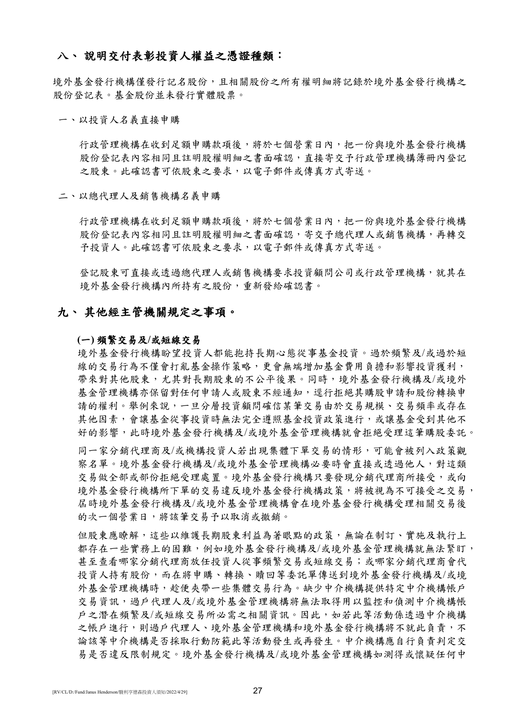## 八、 說明交付表彰投資人權益之憑證種類:

境外基金發行機構僅發行記名股份,且相關股份之所有權明細將記錄於境外基金發行機構之 股份登記表。基金股份並未發行實體股票。

#### 一、以投資人名義直接申購

行政管理機構在收到足額申購款項後,將於七個營業日內,把一份與境外基金發行機構 股份登記表內容相同且註明股權明細之書面確認,直接寄交予行政管理機構簿冊內登記 之股東。此確認書可依股東之要求,以電子郵件或傳真方式寄送。

#### 二、以總代理人及銷售機構名義申購

行政管理機構在收到足額申購款項後,將於七個營業日內,把一份與境外基金發行機構 股份登記表內容相同且註明股權明細之書面確認,寄交予總代理人或銷售機構,再轉交 予投資人。此確認書可依股東之要求,以電子郵件或傳真方式寄送。

登記股東可直接或透過總代理人或銷售機構要求投資顧問公司或行政管理機構,就其在 境外基金發行機構內所持有之股份,重新發給確認書。

## 九、 其他經主管機關規定之事項。

#### **(**一**)** 頻繁交易及**/**或短線交易

境外基金發行機構盼望投資人都能抱持長期心態從事基金投資。過於頻繁及/或過於短 線的交易行為不僅會打亂基金操作策略,更會無端增加基金費用負擔和影響投資獲利, 帶來對其他股東,尤其對長期股東的不公平後果。同時,境外基金發行機構及/或境外 基金管理機構亦保留對任何申請人或股東不經通知,逕行拒絕其購股申請和股份轉換申 請的權利。舉例來說,一旦分層投資顧問確信某筆交易由於交易規模、交易頻率或存在 其他因素,會讓基金從事投資時無法完全遵照基金投資政策進行,或讓基金受到其他不 好的影響,此時境外基金發行機構及/或境外基金管理機構就會拒絕受理這筆購股委託。

同一家分銷代理商及/或機構投資人若出現集體下單交易的情形,可能會被列入政策觀 察名單。境外基金發行機構及/或境外基金管理機構必要時會直接或透過他人,對這類 交易做全部或部份拒絕受理處置。境外基金發行機構只要發現分銷代理商所接受,或向 境外基金發行機構所下單的交易違反境外基金發行機構政策,將被視為不可接受之交易, 屆時境外基金發行機構及/或境外基金管理機構會在境外基金發行機構受理相關交易後 的次一個營業日,將該筆交易予以取消或撤銷。

但股東應瞭解,這些以維護長期股東利益為著眼點的政策,無論在制訂、實施及執行上 都存在一些實務上的困難,例如境外基金發行機構及/或境外基金管理機構就無法緊盯, 甚至查看哪家分銷代理商放任投資人從事頻繁交易或短線交易;或哪家分銷代理商會代 投資人持有股份,而在將申購、轉換、贖回等委託單傳送到境外基金發行機構及/或境 外基金管理機構時,趁便夾帶一些集體交易行為。缺少中介機構提供特定中介機構帳戶 交易資訊,過戶代理人及/或境外基金管理機構將無法取得用以監控和偵測中介機構帳 戶之潛在頻繁及/或短線交易所必需之相關資訊。因此,如若此等活動係透過中介機構 之帳戶進行,則過戶代理人、境外基金管理機構和境外基金發行機構將不就此負責,不 論該等中介機構是否採取行動防範此等活動發生或再發生。中介機構應自行負責判定交 易是否違反限制規定。境外基金發行機構及/或境外基金管理機構如測得或懷疑任何中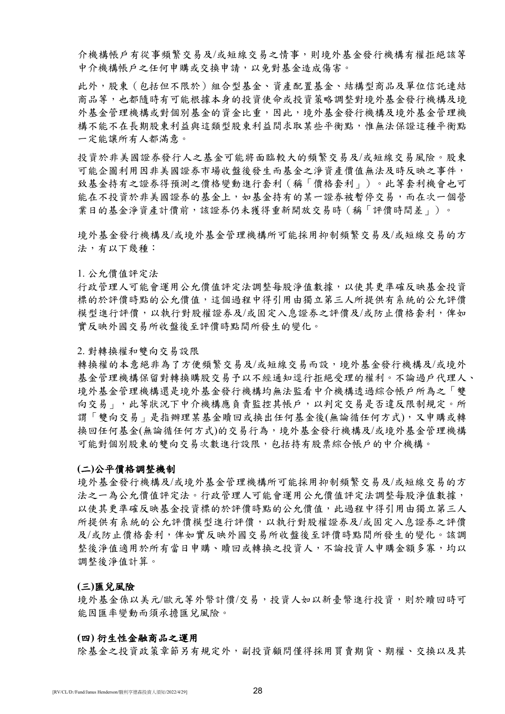介機構帳戶有從事頻繁交易及/或短線交易之情事,則境外基金發行機構有權拒絕該等 中介機構帳戶之任何申購或交換申請,以免對基金造成傷害。

此外,股東(包括但不限於)組合型基金、資產配置基金、結構型商品及單位信託連結 商品等,也都隨時有可能根據本身的投資使命或投資策略調整對境外基金發行機構及境 外基金管理機構或對個別基金的資金比重,因此,境外基金發行機構及境外基金管理機 構不能不在長期股東利益與這類型股東利益間求取某些平衡點,惟無法保證這種平衡點 一定能讓所有人都滿意。

投資於非美國證券發行人之基金可能將面臨較大的頻繁交易及/或短線交易風險。股東 可能企圖利用因非美國證券市場收盤後發生而基金之淨資產價值無法及時反映之事件, 致基金持有之證券得預測之價格變動進行套利(稱「價格套利」)。此等套利機會也可 能在不投資於非美國證券的基金上,如基金持有的某一證券被暫停交易,而在次一個營 業日的基金淨資產計價前,該證券仍未獲得重新開放交易時(稱「評價時間差」)。

境外基金發行機構及/或境外基金管理機構所可能採用抑制頻繁交易及/或短線交易的方 法,有以下幾種:

#### 1. 公允價值評定法

行政管理人可能會運用公允價值評定法調整每股淨值數據,以使其更準確反映基金投資 標的於評價時點的公允價值,這個過程中得引用由獨立第三人所提供有系統的公允評價 模型進行評價,以執行對股權證券及/或固定入息證券之評價及/或防止價格套利,俾如 實反映外國交易所收盤後至評價時點間所發生的變化。

#### 2. 對轉換權和雙向交易設限

轉換權的本意絕非為了方便頻繁交易及/或短線交易而設,境外基金發行機構及/或境外 基金管理機構保留對轉換購股交易予以不經通知逕行拒絕受理的權利。不論過戶代理人、 境外基金管理機構還是境外基金發行機構均無法監看中介機構透過綜合帳戶所為之「雙 向交易」,此等狀況下中介機構應負責監控其帳戶,以判定交易是否違反限制規定。所 謂「雙向交易」是指辦理某基金贖回或換出任何基金後(無論循任何方式),又申購或轉 換回任何基金(無論循任何方式)的交易行為,境外基金發行機構及/或境外基金管理機構 可能對個別股東的雙向交易次數進行設限,包括持有股票綜合帳戶的中介機構。

#### **(**二**)**公平價格調整機制

境外基金發行機構及/或境外基金管理機構所可能採用抑制頻繁交易及/或短線交易的方 法之一為公允價值評定法。行政管理人可能會運用公允價值評定法調整每股淨值數據, 以使其更準確反映基金投資標的於評價時點的公允價值,此過程中得引用由獨立第三人 所提供有系統的公允評價模型進行評價,以執行對股權證券及/或固定入息證券之評價 及/或防止價格套利,俾如實反映外國交易所收盤後至評價時點間所發生的變化。該調 整後淨值適用於所有當日申購、贖回或轉換之投資人,不論投資人申購金額多寡,均以 調整後淨值計算。

#### **(**三**)**匯兌風險

境外基金係以美元/歐元等外幣計價/交易,投資人如以新臺幣進行投資,則於贖回時可 能因匯率變動而須承擔匯兌風險。

#### **(**四**)** 衍生性金融商品之運用

除基金之投資政策章節另有規定外,副投資顧問僅得採用買賣期貨、期權、交換以及其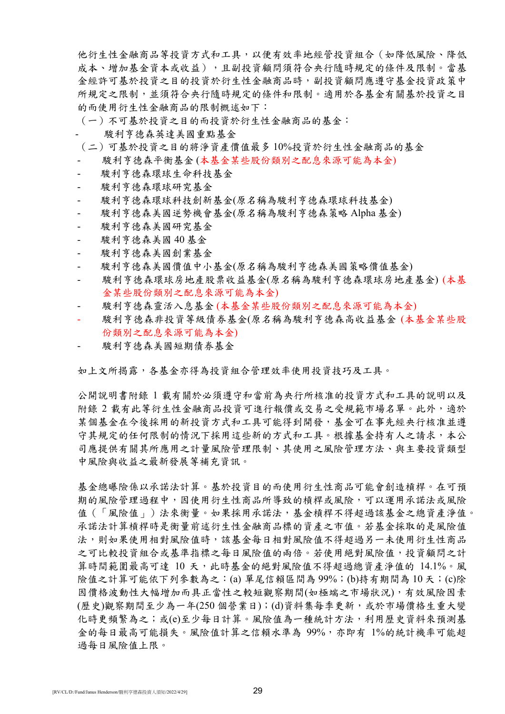他衍生性金融商品等投資方式和工具,以便有效率地經管投資組合(如降低風險、降低 成本、增加基金資本或收益),且副投資顧問須符合央行隨時規定的條件及限制。當基 金經許可基於投資之目的投資於衍生性金融商品時,副投資顧問應遵守基金投資政策中 所規定之限制,並須符合央行隨時規定的條件和限制。適用於各基金有關基於投資之目 的而使用衍生性金融商品的限制概述如下:

(一)不可基於投資之目的而投資於衍生性金融商品的基金:

- 駿利亨德森英達美國重點基金
- (二)可基於投資之目的將淨資產價值最多 10%投資於衍生性金融商品的基金
- 駿利亨德森平衡基金 (本基金某些股份類別之配息來源可能為本金)
- 駿利亨德森環球生命科技基金
- 駿利亨德森環球研究基金
- 駿利亨德森環球科技創新基金(原名稱為駿利亨德森環球科技基金)
- 駿利亨德森美國逆勢機會基金(原名稱為駿利亨德森策略 Alpha 基金)
- 駿利亨德森美國研究基金
- 駿利亨德森美國 40 基金
- 駿利亨德森美國創業基金
- 駿利亨德森美國價值中小基金(原名稱為駿利亨德森美國策略價值基金)
- 駿利亨德森環球房地產股票收益基金(原名稱為駿利亨德森環球房地產基金) (本基 金某些股份類別之配息來源可能為本金)
- 駿利亨德森靈活入息基金 (本基金某些股份類別之配息來源可能為本金)
- 駿利亨德森非投資等級債券基金(原名稱為駿利亨德森高收益基金 (本基金某些股 份類別之配息來源可能為本金)
- 駿利亨德森美國短期債券基金

如上文所揭露,各基金亦得為投資組合管理效率使用投資技巧及工具。

公開說明書附錄 1 載有關於必須遵守和當前為央行所核准的投資方式和工具的說明以及 附錄 2 載有此等衍生性金融商品投資可進行報價或交易之受規範市場名單。此外,適於 某個基金在今後採用的新投資方式和工具可能得到開發,基金可在事先經央行核准並遵 守其規定的任何限制的情況下採用這些新的方式和工具。根據基金持有人之請求,本公 司應提供有關其所應用之計量風險管理限制、其使用之風險管理方法、與主要投資類型 中風險與收益之最新發展等補充資訊。

基金總曝險係以承諾法計算。基於投資目的而使用衍生性商品可能會創造槓桿。在可預 期的風險管理過程中,因使用衍生性商品所導致的槓桿或風險,可以運用承諾法或風險 值(「風險值」)法來衡量。如果採用承諾法,基金槓桿不得超過該基金之總資產淨值。 承諾法計算槓桿時是衡量前述衍生性金融商品標的資產之市值。若基金採取的是風險值 法,則如果使用相對風險有用就基金每日相對風險值不得超過另一未使用衍生性商品 之可比較投資組合或基準指標之每日風險值的兩倍。若使用絕對風險值,投資顧問之計 算時間範圍最高可達 10 天,此時基金的絕對風險值不得超過總資產淨值的 14.1%。風 險值之計算可能依下列參數為之:(a) 單尾信賴區間為 99%;(b)持有期間為 10 天;(c)除 因價格波動性大幅增加而具正當性之較短觀察期間(如極端之市場狀況),有效風險因素 (歷史)觀察期間至少為一年(250 個營業日);(d)資料集每季更新,或於市場價格生重大變 化時更頻繁為之;或(e)至少每日計算。風險值為一種統計方法,利用歷史資料來預測基 金的每日最高可能損失。風險值計算之信賴水準為 99%,亦即有 1%的統計機率可能超 過每日風險值上限。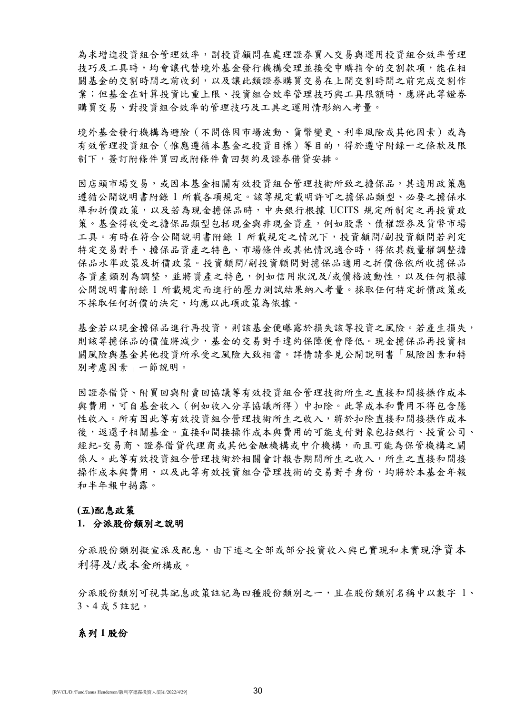為求增進投資組合管理效率,副投資顧問在處理證券買入交易與運用投資組合效率管理 技巧及工具時,均會讓代替境外基金發行機構受理並接受申購指令的交割款項,能在相 關基金的交割時間之前收到,以及讓此類證券購買交易在上開交割時間之前完成交割作 業;但基金在計算投資比重上限、投資組合效率管理技巧與工具限額時,應將此等證券 購買交易、對投資組合效率的管理技巧及工具之運用情形納入考量。

境外基金發行機構為避險(不問係因市場波動、貨幣變更、利率風險或其他因素)或為 有效管理投資組合(惟應遵循本基金之投資目標)等目的,得於遵守附錄一之條款及限 制下,簽訂附條件買回或附條件賣回契約及證券借貸安排。

因店頭市場交易,或因本基金相關有效投資組合管理技術所致之擔保品,其適用政策應 遵循公開說明書附錄 1 所載各項規定。該等規定載明許可之擔保品類型、必要之擔保水 準和折價政策,以及若為現金擔保品時,中央銀行根據 UCITS 規定所制定之再投資政 策。基金得收受之擔保品類型包括現金與非現金資產,例如股票、債權證券及貨幣市場 工具。有時在符合公開說明書附錄 1 所載規定之情況下,投資顧問/副投資顧問若判定 特定交易對手、擔保品資產之特色、市場條件或其他情況適合時,得依其裁量權調整擔 保品水準政策及折價政策。投資顧問/副投資顧問對擔保品適用之折價係依所收擔保品 各資產類別為調整,並將資產之特色,例如信用狀況及/或價格波動性,以及任何根據 公開說明書附錄 1 所載規定而進行的壓力測試結果納入考量。採取任何特定折價政策或 不採取任何折價的決定,均應以此項政策為依據。

基金若以現金擔保品進行再投資,則該基金便曝露於損失該等投資之風險。若產生損失, 則該等擔保品的價值將減少,基金的交易對手違約保障便會降低。現金擔保品再投資相 關風險與基金其他投資所承受之風險大致相當。詳情請參見公開說明書「風險因素和特 別考慮因素」一節說明。

因證券借貸、附買回與附賣回協議等有效投資組合管理技術所生之直接和間接操作成本 與費用,可自基金收入(例如收入分享協議所得)中扣除。此等成本和費用不得包含隱 性收入。所有因此等有效投資組合管理技術所生之收入,將於扣除直接和間接操作成本 後,返還予相關基金。直接和間接操作成本與費用的可能支付對象包括銀行、投資公司、 經紀-交易商、證券借貸代理商或其他金融機構或中介機構,而且可能為保管機構之關 係人。此等有效投資組合管理技術於相關會計報告期間所生之收入,所生之直接和間接 操作成本與費用,以及此等有效投資組合管理技術的交易對手身份,均將於本基金年報 和半年報中揭露。

#### **(**五**)**配息政策

#### **1.** 分派股份類別之說明

分派股份類別擬宣派及配息,由下述之全部或部分投資收入與已實現和未實現淨資本 利得及/或本金所構成。

分派股份類別可視其配息政策註記為四種股份類別之一,且在股份類別名稱中以數字 1、 3、4 或 5 註記。

#### 系列 **1** 股份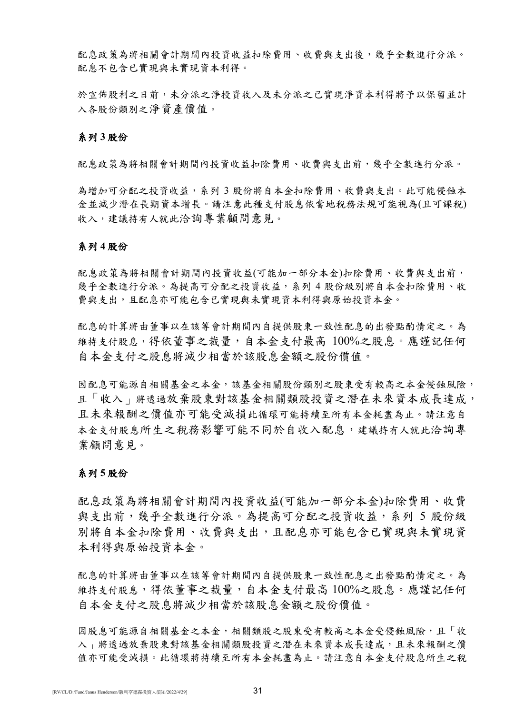配息政策為將相關會計期間內投資收益扣除費用、收費與支出後,幾乎全數進行分派。 配息不包含已實現與未實現資本利得。

於宣佈股利之日前,未分派及及未分派之已實現淨資本利得將予以保留並計 入各股份類別之淨資產價值。

### 系列 **3** 股份

配息政策為將相關會計期間內投資收益扣除費用、收費與支出前,幾乎全數進行分派。

為增加可分配之投資收益,系列 3 股份將自本金扣除費用、收費與支出。此可能侵蝕本 金並減少潛在長期資本增長。請注意此種支付股息依當地稅務法規可能視為(且可課稅) 收入,建議持有人就此洽詢專業顧問意見。

#### 系列 **4** 股份

配息政策為將相關會計期間內投資收益(可能加一部分本金)扣除費用、收費與支出前, 幾乎全數進行分派。為提高可分配之投資收益,系列 4 股份級別將自本金扣除費用、收 費與支出,且配息亦可能包含已實現與未實現資本利得與原始投資本金。

配息的計算將由董事以在該等會計期間內自提供股東一致性配息的出發點酌情定之。為 維持支付股息,得依董事之裁量,自本金支付最高 100%之股息。應謹記任何 自本金支付之股息將減少相當於該股息金額之股份價值。

因配息可能源自相關基金之本金,該基金相關股份類別之股東受有較高之本金侵蝕風險, 且「收入」將透過放棄股東對該基金相關類股投資之潛在未來資本成長達成, 且未來報酬之價值亦可能受減損此循環可能持續至所有本金耗盡為止。請注意自 本金支付股息所生之稅務影響可能不同於自收入配息,建議持有人就此洽詢專 業顧問意見。

#### 系列 **5** 股份

配息政策為將相關會計期間內投資收益(可能加一部分本金)扣除費用、收費 與支出前,幾乎全數進行分派。為提高可分配之投資收益,系列 5 股份級 別將自本金扣除費用、收費與支出,且配息亦可能包含已實現與未實現資 本利得與原始投資本金。

配息的計算將由董事以在該等會計期間內自提供股東一致性配息之出發點酌情定之。為 維持支付股息,得依董事之裁量,自本金支付最高 100%之股息。應謹記任何 自本金支付之股息將減少相當於該股息金額之股份價值。

因股息可能源自相關基金之本金,相關類股之股東受有較高之本金受侵蝕風險,且「收 入、將透過放棄股東對該基金相關類股投資之潛在未來資本成長達成,且未來報酬之價 值亦可能受減損。此循環將持續至所有本金耗盡為止。請注意自本金支付股息所生之稅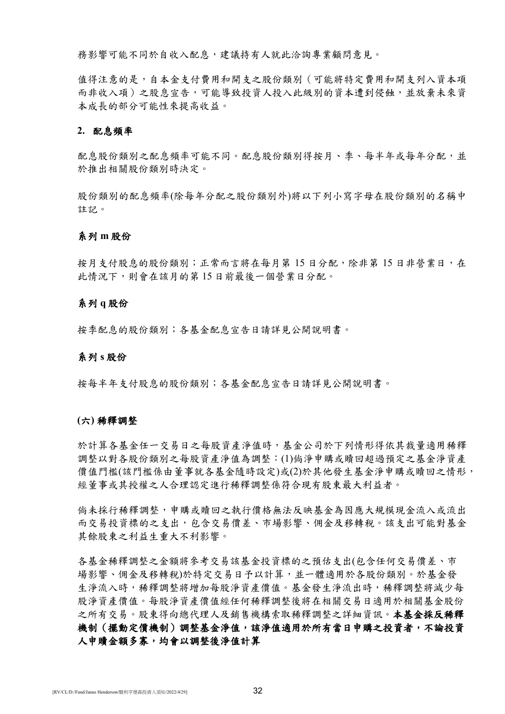務影響可能不同於自收入配息,建議持有人就此洽詢專業顧問意見。

值得注意的是,自本金支付費用和開支之股份類別(可能將特定費用和開支列入資本項 而非收入項)之股息宣告,可能導致投資人投入此級別的資本遭到侵蝕,並放棄未來資 本成長的部分可能性來提高收益。

### **2.** 配息頻率

配息股份類別之配息頻率可能不同。配息股份類別得按月、季、每半年或每年分配,並 於推出相關股份類別時決定。

股份類別的配息頻率(除每年分配之股份類別外)將以下列小寫字母在股份類別的名稱中 註記。

#### 系列 **m** 股份

按月支付股息的股份類別;正常而言將在每月第15日分配,除非第15日非營業日,在 此情況下,則會在該月的第 15 日前最後一個營業日分配。

#### 系列 **q** 股份

按季配息的股份類別;各基金配息宣告日請詳見公開說明書。

#### 系列 **s** 股份

按每半年支付股息的股份類別;各基金配息宣告日請詳見公開說明書。

#### **(**六**)** 稀釋調整

於計算各基金任一交易日之每股資產淨值時,基金公司於下列情形得依其裁量適用稀釋 調整以對各股份類別之每股資產淨值為調整:(1)倘淨申購或贖回超過預定之基金淨資產 價值門檻(該門檻係由董事就各基金隨時設定)或(2)於其他發生基金淨申購或贖回之情形, 經董事或其授權之人合理認定進行稀釋調整係符合現有股東最大利益者。

倘未採行稀釋調整,申購或贖回之執行價格無法反映基金為因應大規模現金流入或流出 而交易投資標的之支出,包含交易價差、市場影響、佣金及移轉稅。該支出可能對基金 其餘股東之利益生重大不利影響。

各基金稀釋調整之金額將參考交易該基金投資標的之預估支出(包含任何交易價差、市 場影響、佣金及移轉稅)於特定交易日予以計算,並一體適用於各股份類別。於基金發 生淨流入時,稀釋調整將增加每股淨資產價值。基金發生淨流出時,稀釋調整將減少每 股淨資產價值。每股淨資產價值經任何稀釋調整後將在相關交易日適用於相關基金股份 之所有交易。股東得向總代理人及銷售機構索取稀釋調整之詳細資訊。本基金採反稀釋 機制(擺動定價機制)調整基金淨值,該淨值適用於所有當日申購之投資者,不論投資 人申贖金額多寡,均會以調整後淨值計算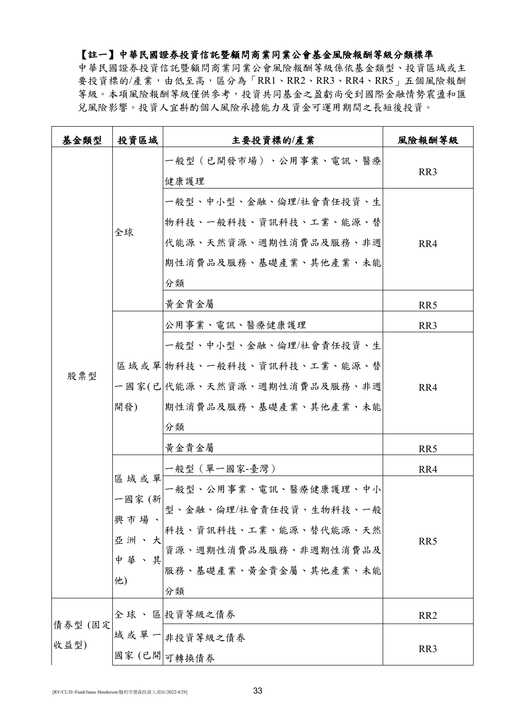## 【註一】中華民國證券投資信託暨顧問商業同業公會基金風險報酬等級分類標準

中華民國證券投資信託暨顧問商業同業公會風險報酬等級係依基金類型、投資區域或主 要投資標的/產業,由低至高,區分為「RR1、RR2、RR3、RR4、RR5」五個風險報酬 等級。本項風險報酬等級僅供參考,投資共同基金之盈虧尚受到國際金融情勢震盪和匯 兌風險影響。投資人宜斟酌個人風險承擔能力及資金可運用期間之長短後投資。

| 基金類型            | 投資區域                                           | 主要投資標的/產業                                                                                                                          | 風險報酬等級                                    |
|-----------------|------------------------------------------------|------------------------------------------------------------------------------------------------------------------------------------|-------------------------------------------|
| 股票型             |                                                | 一般型(已開發市場)、公用事業、電訊、醫療<br>健康護理                                                                                                      | RR <sub>3</sub>                           |
|                 | 全球                                             | 一般型、中小型、金融、倫理/社會責任投資、生<br>物科技、一般科技、資訊科技、工業、能源、替<br>代能源、天然資源、週期性消費品及服務、非週<br>期性消費品及服務、基礎產業、其他產業、未能<br>分類<br>黄金貴金屬<br>公用事業、電訊、醫療健康護理 | RR4<br>RR <sub>5</sub><br>RR <sub>3</sub> |
|                 | 開發)                                            | 一般型、中小型、金融、倫理/社會責任投資、生<br>區域或單 物科技、一般科技、資訊科技、工業、能源、替<br>一國家(已 代能源、天然資源、週期性消費品及服務、非週<br>期性消費品及服務、基礎產業、其他產業、未能<br>分類                 | RR4                                       |
|                 |                                                | 黄金貴金屬                                                                                                                              | RR5                                       |
|                 |                                                | 一般型(單一國家-臺灣)                                                                                                                       | RR4                                       |
|                 | 區域或單<br>一國家 (新<br>興市場<br>亞 洲<br>中華<br>、其<br>他) | 一般型、公用事業、電訊、醫療健康護理、中小<br>型、金融、倫理/社會責任投資、生物科技、一般<br>科技、資訊科技、工業、能源、替代能源、天然<br>資源、週期性消費品及服務、非週期性消費品及<br>服務、基礎產業、黃金貴金屬、其他產業、未能<br>分類   | RR5                                       |
|                 |                                                | 全球、區 投資等級之債券                                                                                                                       | RR <sub>2</sub>                           |
| 債券型 (固定<br>收益型) |                                                | 域 或 單 一 非投資等級之債券<br>國家(已開 可轉換債券                                                                                                    | RR <sub>3</sub>                           |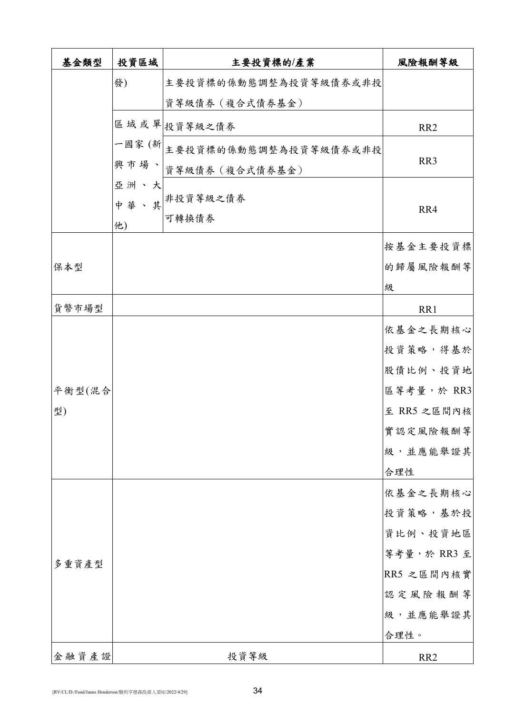| 基金類型   | 投資區域 | 主要投資標的/產業                             | 風險報酬等級               |
|--------|------|---------------------------------------|----------------------|
|        | 發)   | 主要投資標的係動態調整為投資等級債券或非投                 |                      |
|        |      | 資等級債券 (複合式債券基金)                       |                      |
|        |      | 區域或單投資等級之債券                           | RR <sub>2</sub>      |
|        |      | 一國家(新 <br>三國家(新 主要投資標的係動態調整為投資等級債券或非投 |                      |
|        |      | 興市場、資等級債券(複合式債券基金)                    | RR3                  |
|        | 亞洲、大 |                                       |                      |
|        |      | 中華、其非投資等級之債券<br>可轉換債券                 | RR4                  |
|        | 他)   |                                       |                      |
|        |      |                                       | 按基金主要投資標             |
| 保本型    |      |                                       | 的歸屬風險報酬等             |
|        |      |                                       | 级                    |
| 貨幣市場型  |      |                                       | RR1                  |
|        |      |                                       | 依基金之長期核心             |
|        |      |                                       | 投資策略,得基於             |
|        |      |                                       | 股債比例、投資地             |
| 平衡型(混合 |      |                                       | 區等考量,於 RR3           |
| 型)     |      |                                       | 至 RR5 之區間內核          |
|        |      |                                       | 實認定風險報酬等<br>級,並應能舉證其 |
|        |      |                                       | 合理性                  |
|        |      |                                       | 依基金之長期核心             |
| 多重資產型  |      |                                       | 投資策略,基於投             |
|        |      |                                       | 資比例、投資地區             |
|        |      |                                       | 等考量,於 RR3 至          |
|        |      |                                       | RR5 之區間內核實           |
|        |      |                                       | 認定風險報酬等              |
|        |      |                                       | 級,並應能舉證其             |
|        |      |                                       | 合理性。                 |
| 金融資產證  |      | 投資等級                                  | RR <sub>2</sub>      |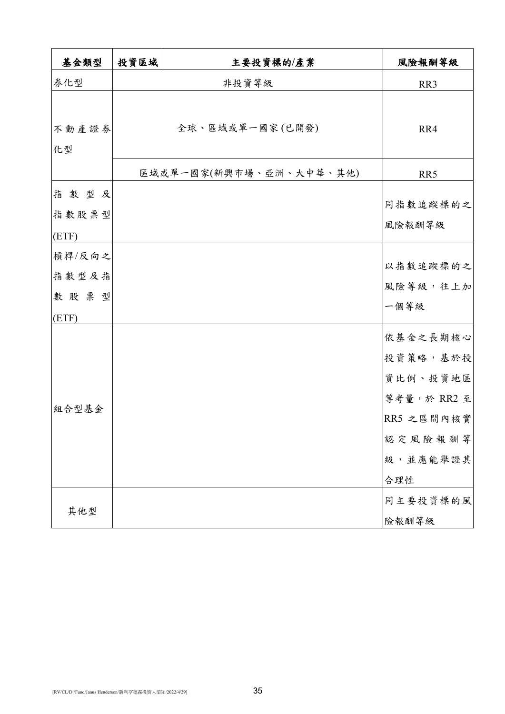| 基金類型        | 投資區域 | 主要投資標的/產業               | 風險報酬等級                                                                                      |
|-------------|------|-------------------------|---------------------------------------------------------------------------------------------|
| 券化型         |      | 非投資等級                   | RR3                                                                                         |
|             |      |                         |                                                                                             |
| 不動產證券<br>化型 |      | 全球、區域或單一國家(已開發)         | RR4                                                                                         |
|             |      | 區域或單一國家(新興市場、亞洲、大中華、其他) | RR5                                                                                         |
| 指數型及        |      |                         |                                                                                             |
| 指數股票型       |      |                         | 同指數追蹤標的之                                                                                    |
| (ETF)       |      |                         | 風險報酬等級                                                                                      |
| 槓桿/反向之      |      |                         |                                                                                             |
| 指數型及指       |      |                         | 以指數追蹤標的之                                                                                    |
| 數股票型        |      |                         | 風險等級,往上加                                                                                    |
| (ETF)       |      |                         | 一個等級                                                                                        |
| 組合型基金       |      |                         | 依基金之長期核心<br>投資策略,基於投<br>資比例、投資地區<br>等考量,於 RR2 至<br>RR5 之區間內核實<br>認定風險報酬等<br>級,並應能舉證其<br>合理性 |
| 其他型         |      |                         | 同主要投資標的風<br>險報酬等級                                                                           |